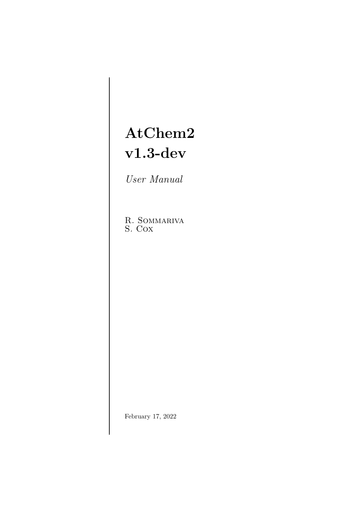# AtChem2 v1.3-dev

User Manual

R. Sommariva S. Cox

February 17, 2022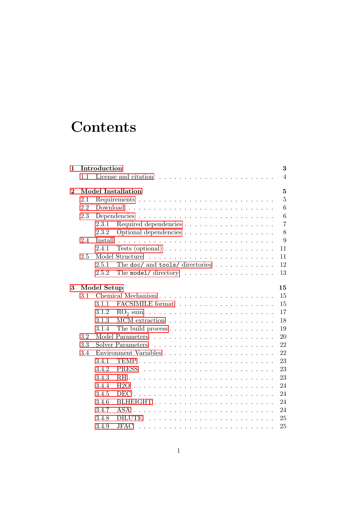# **Contents**

| $\mathbf{1}$ | Introduction<br>3              |                                                                                              |  |  |  |  |
|--------------|--------------------------------|----------------------------------------------------------------------------------------------|--|--|--|--|
|              | 1.1                            | $\overline{4}$                                                                               |  |  |  |  |
| $\bf{2}$     | <b>Model Installation</b><br>5 |                                                                                              |  |  |  |  |
|              | 2.1                            | 5                                                                                            |  |  |  |  |
|              | 2.2                            | 6<br>$Download \dots \dots \dots \dots \dots \dots \dots \dots \dots \dots \dots \dots$      |  |  |  |  |
|              | 2.3                            | 6                                                                                            |  |  |  |  |
|              |                                | $\overline{7}$<br>2.3.1                                                                      |  |  |  |  |
|              |                                | 8<br>2.3.2<br>Optional dependencies                                                          |  |  |  |  |
|              | 2.4                            | 9<br>Install                                                                                 |  |  |  |  |
|              |                                | 2.4.1<br>Tests (optional) $\ldots \ldots \ldots \ldots \ldots \ldots \ldots$<br>11           |  |  |  |  |
|              | 2.5                            | Model Structure<br>11                                                                        |  |  |  |  |
|              |                                | 2.5.1<br>The doc/ and tools/ directories $\ldots$<br>12                                      |  |  |  |  |
|              |                                | 2.5.2<br>The model/ directory $\dots \dots \dots \dots \dots \dots$<br>13                    |  |  |  |  |
| 3            |                                | Model Setup<br>15                                                                            |  |  |  |  |
|              | 3.1                            | 15                                                                                           |  |  |  |  |
|              |                                | 3.1.1<br>15                                                                                  |  |  |  |  |
|              |                                | 17<br>3.1.2<br>$\mathrm{RO}_2$ sum $\ldots \ldots \ldots \ldots \ldots \ldots \ldots \ldots$ |  |  |  |  |
|              |                                | 18<br>3.1.3                                                                                  |  |  |  |  |
|              |                                | 19<br>3.1.4<br>The build process $\dots \dots \dots \dots \dots \dots \dots \dots$           |  |  |  |  |
|              | 3.2                            | 20                                                                                           |  |  |  |  |
|              | 3.3                            | Solver Parameters<br>22                                                                      |  |  |  |  |
|              | 3.4                            | 22                                                                                           |  |  |  |  |
|              |                                | 3.4.1<br>23                                                                                  |  |  |  |  |
|              |                                | 23<br>3.4.2                                                                                  |  |  |  |  |
|              |                                | 3.4.3<br>23                                                                                  |  |  |  |  |
|              |                                | 3.4.4<br>H2O<br>24                                                                           |  |  |  |  |
|              |                                | 3.4.5<br>24                                                                                  |  |  |  |  |
|              |                                | 3.4.6<br>BLHEIGHT<br>24                                                                      |  |  |  |  |
|              |                                | 3.4.7<br>ASA<br>24                                                                           |  |  |  |  |
|              |                                | 3.4.8<br><b>DILUTE</b><br>25                                                                 |  |  |  |  |
|              |                                | 3.4.9<br>JFAC<br>25                                                                          |  |  |  |  |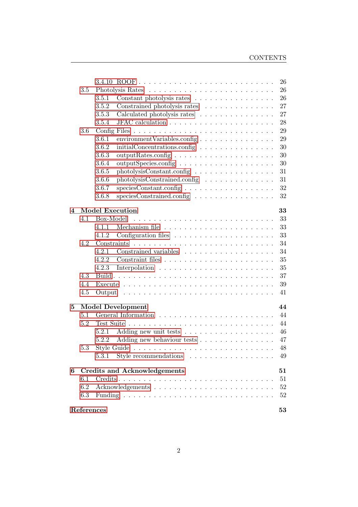|   |         |                                                                                                                           | 26       |
|---|---------|---------------------------------------------------------------------------------------------------------------------------|----------|
|   |         | 26                                                                                                                        |          |
|   |         | Constant photolysis rates<br>3.5.1                                                                                        | 26       |
|   |         | 3.5.2<br>Constrained photolysis rates                                                                                     | 27       |
|   |         | 3.5.3<br>Calculated photolysis rates                                                                                      | 27       |
|   |         | 3.5.4                                                                                                                     | 28       |
|   | $3.6\,$ |                                                                                                                           | 29       |
|   |         | 3.6.1<br>environment Variables.config                                                                                     | 29       |
|   |         | 3.6.2<br>$initial concentrations.config \ldots \ldots \ldots \ldots \ldots$                                               | 30       |
|   |         | 3.6.3                                                                                                                     | 30       |
|   |         | 3.6.4<br>outputSpecies.config                                                                                             | 30       |
|   |         | 3.6.5<br>photolysisConstant.config                                                                                        | 31       |
|   |         | 3.6.6<br>photolysisConstrained.config                                                                                     | 31       |
|   |         | 3.6.7                                                                                                                     | 32       |
|   |         | speciesConstrained.config<br>3.6.8                                                                                        | 32       |
|   |         |                                                                                                                           |          |
| 4 | 4.1     | <b>Model Execution</b><br>Box-Model                                                                                       | 33<br>33 |
|   |         | 4.1.1                                                                                                                     | 33       |
|   |         | 4.1.2                                                                                                                     | 33       |
|   | 4.2     |                                                                                                                           | 34       |
|   |         | 4.2.1                                                                                                                     | 34       |
|   |         | 4.2.2                                                                                                                     | 35       |
|   |         | 4.2.3                                                                                                                     | 35       |
|   | 4.3     |                                                                                                                           | 37       |
|   | 4.4     |                                                                                                                           | 39       |
|   | 4.5     | Output<br>the contract of the contract of the contract of the contract of the contract of the contract of the contract of | 41       |
|   |         |                                                                                                                           |          |
| 5 |         | <b>Model Development</b>                                                                                                  | 44       |
|   | 5.1     |                                                                                                                           | 44       |
|   | 5.2     |                                                                                                                           | 44       |
|   |         | 5.2.1                                                                                                                     | 46       |
|   |         | Adding new behaviour tests<br>5.2.2                                                                                       | 47       |
|   | 5.3     | Style Guide<br>والمتعاونة والمتعاونة والمتعاونة والمتعاونة والمتعاونة والمتعاونة والمتعاونة                               | 48       |
|   |         |                                                                                                                           | 49       |
| 6 |         | <b>Credits and Acknowledgements</b>                                                                                       | 51       |
|   | 6.1     |                                                                                                                           | 51       |
|   | 6.2     |                                                                                                                           | $52\,$   |
|   | 6.3     |                                                                                                                           | $52\,$   |
|   |         |                                                                                                                           |          |
|   |         | References                                                                                                                | 53       |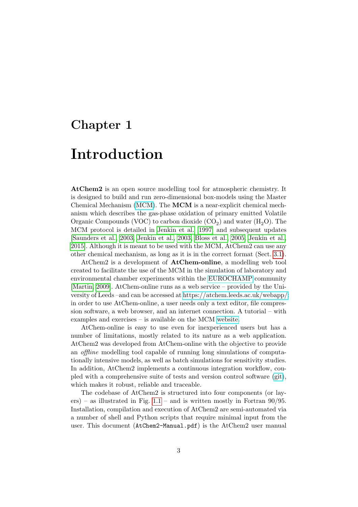## <span id="page-3-0"></span>Chapter 1

## Introduction

AtChem2 is an open source modelling tool for atmospheric chemistry. It is designed to build and run zero-dimensional box-models using the Master Chemical Mechanism [\(MCM\)](http://mcm.leeds.ac.uk/MCM/). The MCM is a near-explicit chemical mechanism which describes the gas-phase oxidation of primary emitted Volatile Organic Compounds (VOC) to carbon dioxide  $(CO_2)$  and water  $(H_2O)$ . The MCM protocol is detailed in [Jenkin et al.](#page-53-1) [\[1997\]](#page-53-1) and subsequent updates [\[Saunders et al., 2003,](#page-54-0) [Jenkin et al., 2003,](#page-53-2) [Bloss et al., 2005,](#page-53-3) [Jenkin et al.,](#page-53-4) [2015\]](#page-53-4). Although it is meant to be used with the MCM, AtChem2 can use any other chemical mechanism, as long as it is in the correct format (Sect. [3.1\)](#page-15-1).

AtChem2 is a development of AtChem-online, a modelling web tool created to facilitate the use of the MCM in the simulation of laboratory and environmental chamber experiments within the [EUROCHAMP](https://www.eurochamp.org/) community [\[Martin, 2009\]](#page-53-5). AtChem-online runs as a web service – provided by the University of Leeds –and can be accessed at [https://atchem.leeds.ac.uk/webapp/:](https://atchem.leeds.ac.uk/webapp/) in order to use AtChem-online, a user needs only a text editor, file compression software, a web browser, and an internet connection. A tutorial – with examples and exercises – is available on the MCM [website.](http://mcm.leeds.ac.uk/MCMv3.3.1/atchem/tutorial_intro.htt)

AtChem-online is easy to use even for inexperienced users but has a number of limitations, mostly related to its nature as a web application. AtChem2 was developed from AtChem-online with the objective to provide an offline modelling tool capable of running long simulations of computationally intensive models, as well as batch simulations for sensitivity studies. In addition, AtChem2 implements a continuous integration workflow, coupled with a comprehensive suite of tests and version control software [\(git\)](https://git-scm.com/), which makes it robust, reliable and traceable.

The codebase of AtChem2 is structured into four components (or layers) – as illustrated in Fig.  $1.1$  – and is written mostly in Fortran 90/95. Installation, compilation and execution of AtChem2 are semi-automated via a number of shell and Python scripts that require minimal input from the user. This document (AtChem2-Manual.pdf) is the AtChem2 user manual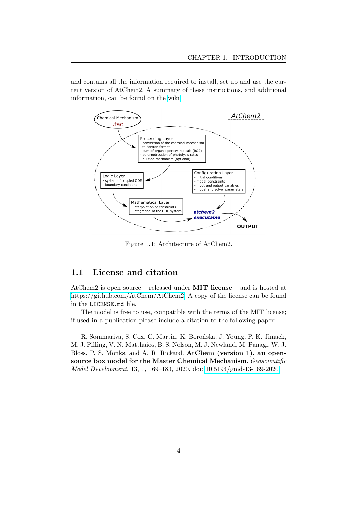and contains all the information required to install, set up and use the current version of AtChem2. A summary of these instructions, and additional information, can be found on the [wiki.](https://github.com/AtChem/AtChem2/wiki/)

<span id="page-4-1"></span>

Figure 1.1: Architecture of AtChem2.

### <span id="page-4-0"></span>1.1 License and citation

AtChem2 is open source – released under MIT license – and is hosted at [https://github.com/AtChem/AtChem2.](https://github.com/AtChem/AtChem2) A copy of the license can be found in the LICENSE.md file.

The model is free to use, compatible with the terms of the MIT license; if used in a publication please include a citation to the following paper:

R. Sommariva, S. Cox, C. Martin, K. Borońska, J. Young, P. K. Jimack, M. J. Pilling, V. N. Matthaios, B. S. Nelson, M. J. Newland, M. Panagi, W. J. Bloss, P. S. Monks, and A. R. Rickard. AtChem (version 1), an opensource box model for the Master Chemical Mechanism. Geoscientific Model Development, 13, 1, 169–183, 2020. doi: [10.5194/gmd-13-169-2020.](https://doi.org/10.5194/gmd-13-169-2020)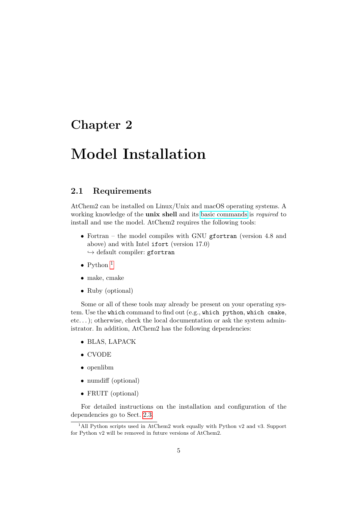## <span id="page-5-0"></span>Chapter 2

## Model Installation

## <span id="page-5-1"></span>2.1 Requirements

AtChem2 can be installed on Linux/Unix and macOS operating systems. A working knowledge of the **unix shell** and its [basic commands](https://swcarpentry.github.io/shell-novice/reference/) is *required* to install and use the model. AtChem2 requires the following tools:

- Fortran the model compiles with GNU gfortran (version 4.8 and above) and with Intel ifort (version 17.0)  $\hookrightarrow$  default compiler: gfortran
- Python  $<sup>1</sup>$  $<sup>1</sup>$  $<sup>1</sup>$ </sup>
- make, cmake
- Ruby (optional)

Some or all of these tools may already be present on your operating system. Use the which command to find out (e.g., which python, which cmake, etc...); otherwise, check the local documentation or ask the system administrator. In addition, AtChem2 has the following dependencies:

- BLAS, LAPACK
- CVODE
- openlibm
- numdiff (optional)
- FRUIT (optional)

For detailed instructions on the installation and configuration of the dependencies go to Sect. [2.3.](#page-6-1)

<span id="page-5-2"></span><sup>&</sup>lt;sup>1</sup>All Python scripts used in AtChem2 work equally with Python v2 and v3. Support for Python v2 will be removed in future versions of AtChem2.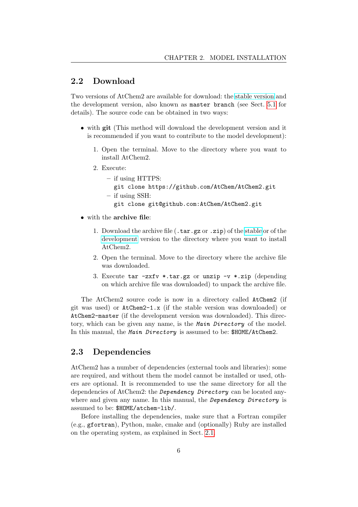### <span id="page-6-0"></span>2.2 Download

Two versions of AtChem2 are available for download: the [stable version](https://github.com/AtChem/AtChem2/releases/) and the development version, also known as master branch (see Sect. [5.1](#page-44-1) for details). The source code can be obtained in two ways:

- with git (This method will download the development version and it is recommended if you want to contribute to the model development):
	- 1. Open the terminal. Move to the directory where you want to install AtChem2.
	- 2. Execute:
		- if using HTTPS: git clone https://github.com/AtChem/AtChem2.git
			-
		- if using SSH:
			- git clone git@github.com:AtChem/AtChem2.git
- with the archive file:
	- 1. Download the archive file (.tar.gz or .zip) of the [stable](https://github.com/AtChem/AtChem2/releases/) or of the [development](https://github.com/AtChem/AtChem2/archive/master.zip) version to the directory where you want to install AtChem2.
	- 2. Open the terminal. Move to the directory where the archive file was downloaded.
	- 3. Execute tar -zxfv \*.tar.gz or unzip -v \*.zip (depending on which archive file was downloaded) to unpack the archive file.

The AtChem2 source code is now in a directory called AtChem2 (if git was used) or AtChem2-1.x (if the stable version was downloaded) or AtChem2-master (if the development version was downloaded). This directory, which can be given any name, is the Main Directory of the model. In this manual, the Main Directory is assumed to be: \$HOME/AtChem2.

## <span id="page-6-1"></span>2.3 Dependencies

AtChem2 has a number of dependencies (external tools and libraries): some are required, and without them the model cannot be installed or used, others are optional. It is recommended to use the same directory for all the dependencies of AtChem2: the Dependency Directory can be located anywhere and given any name. In this manual, the *Dependency Directory* is assumed to be: \$HOME/atchem-lib/.

Before installing the dependencies, make sure that a Fortran compiler (e.g., gfortran), Python, make, cmake and (optionally) Ruby are installed on the operating system, as explained in Sect. [2.1.](#page-5-1)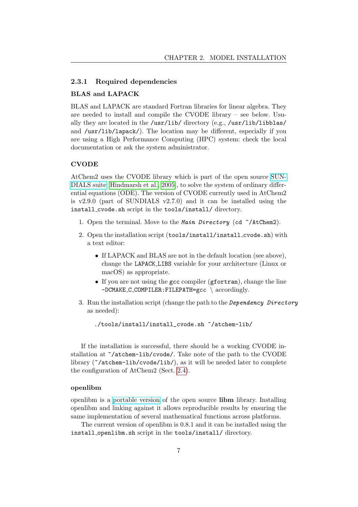#### <span id="page-7-0"></span>2.3.1 Required dependencies

#### BLAS and LAPACK

BLAS and LAPACK are standard Fortran libraries for linear algebra. They are needed to install and compile the CVODE library – see below. Usually they are located in the /usr/lib/ directory (e.g., /usr/lib/libblas/ and /usr/lib/lapack/). The location may be different, especially if you are using a High Performance Computing (HPC) system: check the local documentation or ask the system administrator.

#### CVODE

AtChem2 uses the CVODE library which is part of the open source [SUN-](https://computation.llnl.gov/projects/sundials/)[DIALS suite](https://computation.llnl.gov/projects/sundials/) [\[Hindmarsh et al., 2005\]](#page-53-6), to solve the system of ordinary differential equations (ODE). The version of CVODE currently used in AtChem2 is v2.9.0 (part of SUNDIALS v2.7.0) and it can be installed using the install cvode.sh script in the tools/install/ directory.

- 1. Open the terminal. Move to the Main Directory (cd  $\sim$ /AtChem2).
- 2. Open the installation script (tools/install/install cvode.sh) with a text editor:
	- If LAPACK and BLAS are not in the default location (see above), change the LAPACK LIBS variable for your architecture (Linux or macOS) as appropriate.
	- If you are not using the gcc compiler (gfortran), change the line -DCMAKE\_C\_COMPILER: FILEPATH=gcc \ accordingly.
- 3. Run the installation script (change the path to the Dependency Directory as needed):

./tools/install/install\_cvode.sh ~/atchem-lib/

If the installation is successful, there should be a working CVODE installation at ~/atchem-lib/cvode/. Take note of the path to the CVODE library  $(\gamma_{\text{atchem-lib/cvode}}/1$ ib $\gamma$ , as it will be needed later to complete the configuration of AtChem2 (Sect. [2.4\)](#page-9-0).

#### openlibm

openlibm is a [portable version](https://openlibm.org/) of the open source libm library. Installing openlibm and linking against it allows reproducible results by ensuring the same implementation of several mathematical functions across platforms.

The current version of openlibm is 0.8.1 and it can be installed using the install openlibm.sh script in the tools/install/ directory.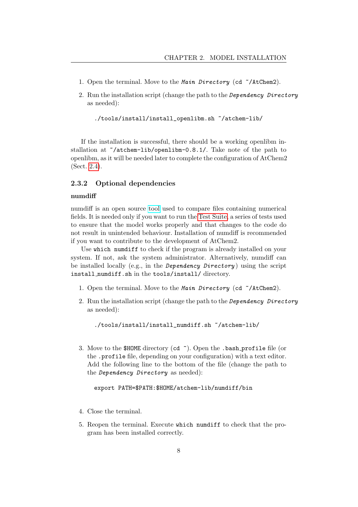- 1. Open the terminal. Move to the Main Directory (cd  $\sim$ /AtChem2).
- 2. Run the installation script (change the path to the Dependency Directory as needed):

```
./tools/install/install_openlibm.sh ~/atchem-lib/
```
If the installation is successful, there should be a working openlibm installation at ~/atchem-lib/openlibm-0.8.1/. Take note of the path to openlibm, as it will be needed later to complete the configuration of AtChem2 (Sect. [2.4\)](#page-9-0).

#### <span id="page-8-0"></span>2.3.2 Optional dependencies

#### numdiff

numdiff is an open source [tool](https://www.nongnu.org/numdiff/) used to compare files containing numerical fields. It is needed only if you want to run the [Test Suite,](#page-44-2) a series of tests used to ensure that the model works properly and that changes to the code do not result in unintended behaviour. Installation of numdiff is recommended if you want to contribute to the development of AtChem2.

Use which numdiff to check if the program is already installed on your system. If not, ask the system administrator. Alternatively, numdiff can be installed locally (e.g., in the *Dependency Directory*) using the script install numdiff.sh in the tools/install/ directory.

- 1. Open the terminal. Move to the Main Directory (cd ~/AtChem2).
- 2. Run the installation script (change the path to the Dependency Directory as needed):

```
./tools/install/install_numdiff.sh ~/atchem-lib/
```
3. Move to the \$HOME directory (cd  $\tilde{\ }$ ). Open the .bash\_profile file (or the .profile file, depending on your configuration) with a text editor. Add the following line to the bottom of the file (change the path to the Dependency Directory as needed):

#### export PATH=\$PATH:\$HOME/atchem-lib/numdiff/bin

- 4. Close the terminal.
- 5. Reopen the terminal. Execute which numdiff to check that the program has been installed correctly.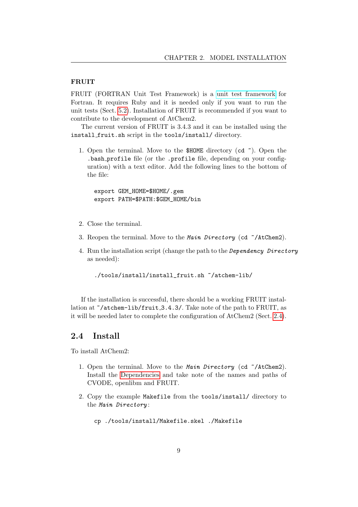#### FRUIT

FRUIT (FORTRAN Unit Test Framework) is a [unit test framework](https://en.wikipedia.org/wiki/Unit_testing) for Fortran. It requires Ruby and it is needed only if you want to run the unit tests (Sect. [5.2\)](#page-44-2). Installation of FRUIT is recommended if you want to contribute to the development of AtChem2.

The current version of FRUIT is 3.4.3 and it can be installed using the install fruit.sh script in the tools/install/ directory.

1. Open the terminal. Move to the \$HOME directory (cd ~). Open the .bash profile file (or the .profile file, depending on your configuration) with a text editor. Add the following lines to the bottom of the file:

export GEM\_HOME=\$HOME/.gem export PATH=\$PATH:\$GEM\_HOME/bin

- 2. Close the terminal.
- 3. Reopen the terminal. Move to the Main Directory (cd  $\sim$ /AtChem2).
- 4. Run the installation script (change the path to the Dependency Directory as needed):

./tools/install/install\_fruit.sh ~/atchem-lib/

If the installation is successful, there should be a working FRUIT installation at  $\tilde{\ }$ /atchem-lib/fruit 3.4.3/. Take note of the path to FRUIT, as it will be needed later to complete the configuration of AtChem2 (Sect. [2.4\)](#page-9-0).

### <span id="page-9-0"></span>2.4 Install

To install AtChem2:

- 1. Open the terminal. Move to the Main Directory (cd ~/AtChem2). Install the [Dependencies](#page-6-1) and take note of the names and paths of CVODE, openlibm and FRUIT.
- 2. Copy the example Makefile from the tools/install/ directory to the Main Directory :

cp ./tools/install/Makefile.skel ./Makefile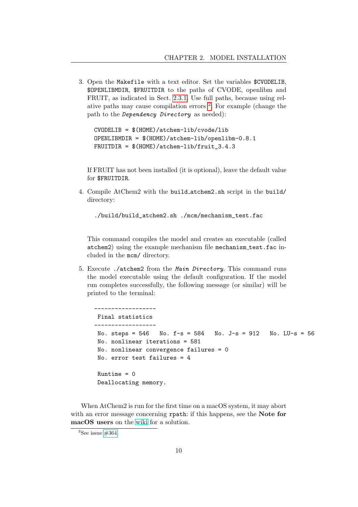3. Open the Makefile with a text editor. Set the variables \$CVODELIB, \$OPENLIBMDIR, \$FRUITDIR to the paths of CVODE, openlibm and FRUIT, as indicated in Sect. [2.3.1.](#page-7-0) Use full paths, because using relative paths may cause compilation errors [2](#page-10-0) . For example (change the path to the Dependency Directory as needed):

CVODELIB = \$(HOME)/atchem-lib/cvode/lib OPENLIBMDIR = \$(HOME)/atchem-lib/openlibm-0.8.1 FRUITDIR = \$(HOME)/atchem-lib/fruit\_3.4.3

If FRUIT has not been installed (it is optional), leave the default value for \$FRUITDIR.

4. Compile AtChem2 with the build atchem2.sh script in the build/ directory:

./build/build\_atchem2.sh ./mcm/mechanism\_test.fac

This command compiles the model and creates an executable (called atchem2) using the example mechanism file mechanism test.fac included in the mcm/ directory.

5. Execute ./atchem2 from the Main Directory. This command runs the model executable using the default configuration. If the model run completes successfully, the following message (or similar) will be printed to the terminal:

```
------------------
Final statistics
------------------
No. steps = 546 No. f-s = 584 No. J-s = 912 No. LU-s = 56
No. nonlinear iterations = 581
No. nonlinear convergence failures = 0
No. error test failures = 4
Runtime = 0Deallocating memory.
```
When AtChem2 is run for the first time on a macOS system, it may abort with an error message concerning rpath: if this happens, see the **Note for** macOS users on the [wiki](https://github.com/AtChem/AtChem2/wiki/How-to-install-AtChem2) for a solution.

<span id="page-10-0"></span> $2$ See issue  $\#364$ .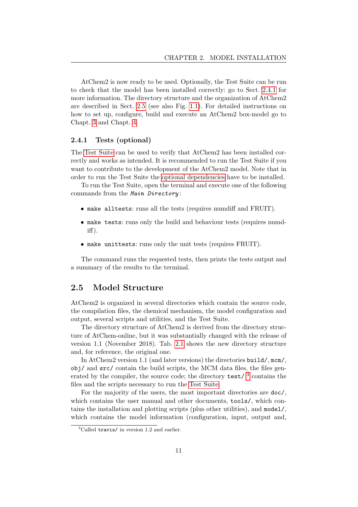AtChem2 is now ready to be used. Optionally, the Test Suite can be run to check that the model has been installed correctly: go to Sect. [2.4.1](#page-11-0) for more information. The directory structure and the organization of AtChem2 are described in Sect. [2.5](#page-11-1) (see also Fig. [1.1\)](#page-4-1). For detailed instructions on how to set up, configure, build and execute an AtChem2 box-model go to Chapt. [3](#page-15-0) and Chapt. [4.](#page-33-0)

#### <span id="page-11-0"></span>2.4.1 Tests (optional)

The [Test Suite](#page-44-2) can be used to verify that AtChem2 has been installed correctly and works as intended. It is recommended to run the Test Suite if you want to contribute to the development of the AtChem2 model. Note that in order to run the Test Suite the [optional dependencies](#page-8-0) have to be installed.

To run the Test Suite, open the terminal and execute one of the following commands from the Main Directory :

- make alltests: runs all the tests (requires numdiff and FRUIT).
- make tests: runs only the build and behaviour tests (requires numdiff).
- make unittests: runs only the unit tests (requires FRUIT).

The command runs the requested tests, then prints the tests output and a summary of the results to the terminal.

### <span id="page-11-1"></span>2.5 Model Structure

AtChem2 is organized in several directories which contain the source code, the compilation files, the chemical mechanism, the model configuration and output, several scripts and utilities, and the Test Suite.

The directory structure of AtChem2 is derived from the directory structure of AtChem-online, but it was substantially changed with the release of version 1.1 (November 2018). Tab. [2.1](#page-12-1) shows the new directory structure and, for reference, the original one.

In AtChem2 version 1.1 (and later versions) the directories build/, mcm/, obj/ and src/ contain the build scripts, the MCM data files, the files generated by the compiler, the source code; the directory  $\texttt{test}/\sqrt{3}$  $\texttt{test}/\sqrt{3}$  $\texttt{test}/\sqrt{3}$  contains the files and the scripts necessary to run the [Test Suite.](#page-44-2)

For the majority of the users, the most important directories are doc/, which contains the user manual and other documents, tools/, which contains the installation and plotting scripts (plus other utilities), and model/, which contains the model information (configuration, input, output and,

<span id="page-11-2"></span> ${}^{3}$ Called travis/ in version 1.2 and earlier.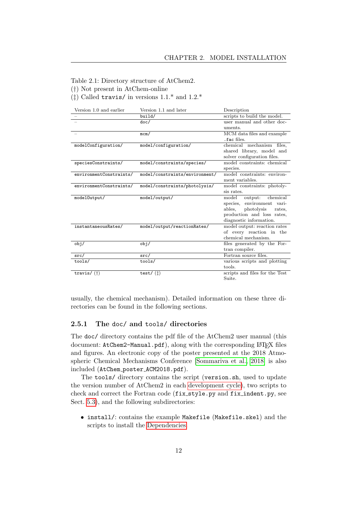<span id="page-12-1"></span>Table 2.1: Directory structure of AtChem2.

(†) Not present in AtChem-online

( $\ddagger$ ) Called travis/ in versions 1.1.\* and 1.2.\*

| Version 1.0 and earlier | Version 1.1 and later          | Description                    |
|-------------------------|--------------------------------|--------------------------------|
|                         | build/                         | scripts to build the model.    |
|                         | doc/                           | user manual and other doc-     |
|                         |                                | uments.                        |
|                         | mcm/                           | MCM data files and example     |
|                         |                                | .fac files.                    |
| modelConfiguration/     | model/configuration/           | chemical mechanism files,      |
|                         |                                | shared library, model and      |
|                         |                                | solver configuration files.    |
| speciesConstraints/     | model/constraints/species/     | model constraints: chemical    |
|                         |                                | species.                       |
| environmentConstraints/ | model/constraints/environment/ | model constraints: environ-    |
|                         |                                | ment variables.                |
| environmentConstraints/ | model/constraints/photolysis/  | model constraints: photoly-    |
|                         |                                | sis rates.                     |
| model0utput/            | model/output/                  | model<br>output: chemical      |
|                         |                                | species, environment vari-     |
|                         |                                | photolysis<br>ables,<br>rates. |
|                         |                                | production and loss rates,     |
|                         |                                | diagnostic information.        |
| instantaneousRates/     | model/output/reactionRates/    | model output: reaction rates   |
|                         |                                | of every reaction in the       |
|                         |                                | chemical mechanism.            |
| obj/                    | obj/                           | files generated by the For-    |
|                         |                                | tran compiler.                 |
| src/                    | src/                           | Fortran source files.          |
| tools/                  | tools/                         | various scripts and plotting   |
|                         |                                | tools.                         |
| travis/ $(f)$           | test/ $(t)$                    | scripts and files for the Test |
|                         |                                | Suite.                         |

usually, the chemical mechanism). Detailed information on these three directories can be found in the following sections.

#### <span id="page-12-0"></span>2.5.1 The doc/ and tools/ directories

The doc/ directory contains the pdf file of the AtChem2 user manual (this document: AtChem2-Manual.pdf), along with the corresponding LAT<sub>E</sub>X files and figures. An electronic copy of the poster presented at the 2018 Atmospheric Chemical Mechanisms Conference [\[Sommariva et al., 2018\]](#page-54-1) is also included (AtChem poster ACM2018.pdf).

The tools/ directory contains the script (version.sh, used to update the version number of AtChem2 in each [development cycle\)](#page-44-0), two scripts to check and correct the Fortran code (fix style.py and fix indent.py, see Sect. [5.3\)](#page-48-0), and the following subdirectories:

• install/: contains the example Makefile (Makefile.skel) and the scripts to install the [Dependencies.](#page-6-1)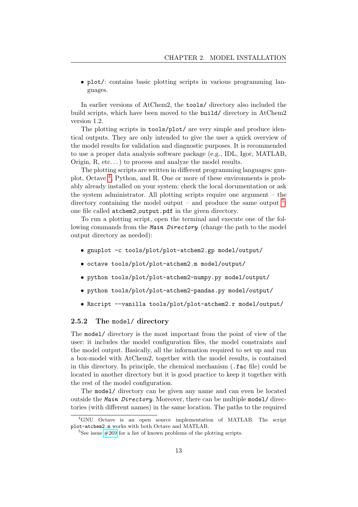• plot/: contains basic plotting scripts in various programming languages.

In earlier versions of AtChem2, the tools/ directory also included the build scripts, which have been moved to the build/ directory in AtChem2 version 1.2.

The plotting scripts in tools/plot/ are very simple and produce identical outputs. They are only intended to give the user a quick overview of the model results for validation and diagnostic purposes. It is recommended to use a proper data analysis software package (e.g., IDL, Igor, MATLAB, Origin, R, etc...) to process and analyze the model results.

The plotting scripts are written in different programming languages: gnuplot, Octave [4](#page-13-1) , Python, and R. One or more of these environments is probably already installed on your system: check the local documentation or ask the system administrator. All plotting scripts require one argument – the directory containing the model output – and produce the same output  $5$ : one file called atchem2 output.pdf in the given directory.

To run a plotting script, open the terminal and execute one of the following commands from the Main Directory (change the path to the model output directory as needed):

- gnuplot -c tools/plot/plot-atchem2.gp model/output/
- octave tools/plot/plot-atchem2.m model/output/
- python tools/plot/plot-atchem2-numpy.py model/output/
- python tools/plot/plot-atchem2-pandas.py model/output/
- Rscript --vanilla tools/plot/plot-atchem2.r model/output/

#### <span id="page-13-0"></span>2.5.2 The model/ directory

The model/ directory is the most important from the point of view of the user: it includes the model configuration files, the model constraints and the model output. Basically, all the information required to set up and run a box-model with AtChem2, together with the model results, is contained in this directory. In principle, the chemical mechanism (.fac file) could be located in another directory but it is good practice to keep it together with the rest of the model configuration.

The model/ directory can be given any name and can even be located outside the Main Directory. Moreover, there can be multiple model/ directories (with different names) in the same location. The paths to the required

<span id="page-13-1"></span><sup>&</sup>lt;sup>4</sup>GNU Octave is an open source implementation of MATLAB. The script plot-atchem2.m works with both Octave and MATLAB.

<span id="page-13-2"></span><sup>&</sup>lt;sup>5</sup>See issue  $\#269$  for a list of known problems of the plotting scripts.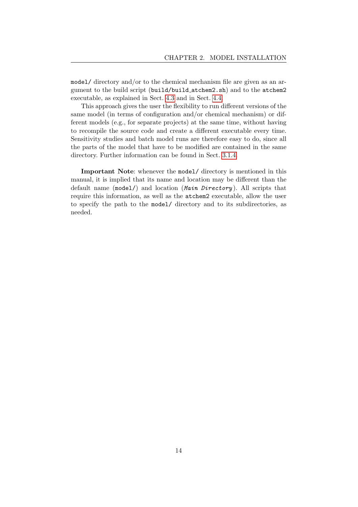model/ directory and/or to the chemical mechanism file are given as an argument to the build script (build/build atchem2.sh) and to the atchem2 executable, as explained in Sect. [4.3](#page-37-0) and in Sect. [4.4.](#page-39-0)

This approach gives the user the flexibility to run different versions of the same model (in terms of configuration and/or chemical mechanism) or different models (e.g., for separate projects) at the same time, without having to recompile the source code and create a different executable every time. Sensitivity studies and batch model runs are therefore easy to do, since all the parts of the model that have to be modified are contained in the same directory. Further information can be found in Sect. [3.1.4.](#page-19-0)

Important Note: whenever the model/ directory is mentioned in this manual, it is implied that its name and location may be different than the default name (model/) and location (Main Directory). All scripts that require this information, as well as the atchem2 executable, allow the user to specify the path to the model/ directory and to its subdirectories, as needed.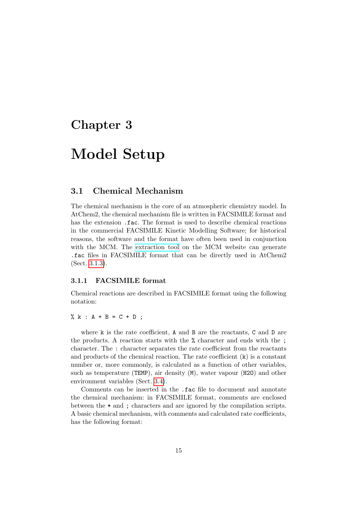## <span id="page-15-0"></span>Chapter 3

## Model Setup

### <span id="page-15-1"></span>3.1 Chemical Mechanism

The chemical mechanism is the core of an atmospheric chemistry model. In AtChem2, the chemical mechanism file is written in FACSIMILE format and has the extension .fac. The format is used to describe chemical reactions in the commercial FACSIMILE Kinetic Modelling Software; for historical reasons, the software and the format have often been used in conjunction with the MCM. The [extraction tool](http://mcm.leeds.ac.uk/MCM/extract.htt) on the MCM website can generate .fac files in FACSIMILE format that can be directly used in AtChem2 (Sect. [3.1.3\)](#page-18-0).

#### <span id="page-15-2"></span>3.1.1 FACSIMILE format

Chemical reactions are described in FACSIMILE format using the following notation:

% k :  $A + B = C + D$  ;

where k is the rate coefficient, A and B are the reactants, C and D are the products. A reaction starts with the % character and ends with the ; character. The : character separates the rate coefficient from the reactants and products of the chemical reaction. The rate coefficient  $(k)$  is a constant number or, more commonly, is calculated as a function of other variables, such as temperature (TEMP), air density (M), water vapour (H2O) and other environment variables (Sect. [3.4\)](#page-22-1).

Comments can be inserted in the .fac file to document and annotate the chemical mechanism: in FACSIMILE format, comments are enclosed between the \* and ; characters and are ignored by the compilation scripts. A basic chemical mechanism, with comments and calculated rate coefficients, has the following format: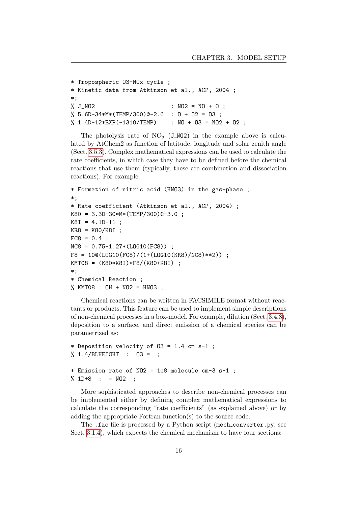```
* Tropospheric O3-NOx cycle ;
* Kinetic data from Atkinson et al., ACP, 2004 ;
*;
\% J_NO2 \qquad \qquad : \ N02 = N0 + 0 ;% 5.6D-34*M*(TEMP/300)@-2.6 : O + O2 = O3 ;
% 1.4D-12*EXP(-1310/TEMP) : NO + 03 = NO2 + 02 ;
```
The photolysis rate of  $NO_2$  (J\_NO2) in the example above is calculated by AtChem2 as function of latitude, longitude and solar zenith angle (Sect. [3.5.3\)](#page-27-1). Complex mathematical expressions can be used to calculate the rate coefficients, in which case they have to be defined before the chemical reactions that use them (typically, these are combination and dissociation reactions). For example:

```
* Formation of nitric acid (HNO3) in the gas-phase ;
*;
* Rate coefficient (Atkinson et al., ACP, 2004) ;
K80 = 3.3D-30*M*(TEMP/300)@-3.0 ;
K8I = 4.1D-11;
KR8 = K80/K8I ;
FC8 = 0.4;
NCS = 0.75 - 1.27 * (LOG10(FCS));
F8 = 10@(L0G10(FC8)/(1+(L0G10(KR8)/NC8)**2));
KMT08 = (K80*K8I)*F8/(K80+K8I) ;
*;
* Chemical Reaction ;
% KMT08 : OH + NO2 = HNO3 :
```
Chemical reactions can be written in FACSIMILE format without reactants or products. This feature can be used to implement simple descriptions of non-chemical processes in a box-model. For example, dilution (Sect. [3.4.8\)](#page-25-0), deposition to a surface, and direct emission of a chemical species can be parametrized as:

```
* Deposition velocity of O3 = 1.4 cm s-1 ;
% 1.4/BLHEIGHT : O3 = ;
* Emission rate of NO2 = 1e8 molecule cm-3 s-1 ;
% 1D+8 : = N02 ;
```
More sophisticated approaches to describe non-chemical processes can be implemented either by defining complex mathematical expressions to calculate the corresponding "rate coefficients" (as explained above) or by adding the appropriate Fortran function(s) to the source code.

The .fac file is processed by a Python script (mech\_converter.py, see Sect. [3.1.4\)](#page-19-0), which expects the chemical mechanism to have four sections: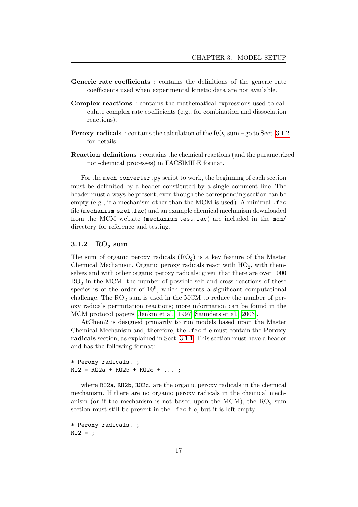- Generic rate coefficients : contains the definitions of the generic rate coefficients used when experimental kinetic data are not available.
- Complex reactions : contains the mathematical expressions used to calculate complex rate coefficients (e.g., for combination and dissociation reactions).
- $\bf{Perox}$ y radicals  $\pm$  contains the calculation of the  $\rm{RO}_{2}$  sum go to Sect. [3.1.2](#page-17-0) for details.
- Reaction definitions : contains the chemical reactions (and the parametrized non-chemical processes) in FACSIMILE format.

For the mech converter.py script to work, the beginning of each section must be delimited by a header constituted by a single comment line. The header must always be present, even though the corresponding section can be empty (e.g., if a mechanism other than the MCM is used). A minimal .fac file (mechanism skel.fac) and an example chemical mechanism downloaded from the MCM website (mechanism\_test.fac) are included in the mcm/ directory for reference and testing.

## <span id="page-17-0"></span> $3.1.2\quad\mathrm{RO}_2\mathrm{sum}$

The sum of organic peroxy radicals  $(RO_2)$  is a key feature of the Master Chemical Mechanism. Organic peroxy radicals react with  $HO_2$ , with themselves and with other organic peroxy radicals: given that there are over 1000  $RO<sub>2</sub>$  in the MCM, the number of possible self and cross reactions of these species is of the order of  $10^6$ , which presents a significant computational challenge. The  $RO<sub>2</sub>$  sum is used in the MCM to reduce the number of peroxy radicals permutation reactions; more information can be found in the MCM protocol papers [\[Jenkin et al., 1997,](#page-53-1) [Saunders et al., 2003\]](#page-54-0).

AtChem2 is designed primarily to run models based upon the Master Chemical Mechanism and, therefore, the .fac file must contain the Peroxy radicals section, as explained in Sect. [3.1.1.](#page-15-2) This section must have a header and has the following format:

```
* Peroxy radicals. ;
RO2 = RO2a + RO2b + RO2c + ...
```
where RO2a, RO2b, RO2c, are the organic peroxy radicals in the chemical mechanism. If there are no organic peroxy radicals in the chemical mechanism (or if the mechanism is not based upon the MCM), the  $RO<sub>2</sub>$  sum section must still be present in the .fac file, but it is left empty:

```
* Peroxy radicals. ;
R02 = :
```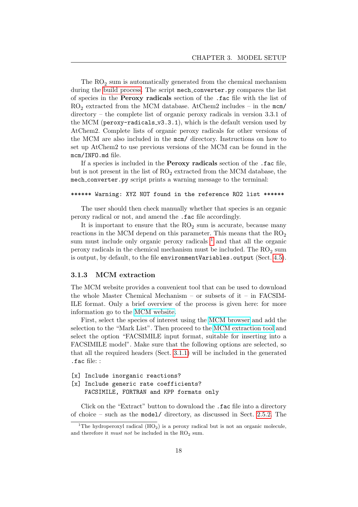The  $RO<sub>2</sub>$  sum is automatically generated from the chemical mechanism during the [build process.](#page-19-0) The script mech converter.py compares the list of species in the Peroxy radicals section of the .fac file with the list of  $RO<sub>2</sub>$  extracted from the MCM database. AtChem2 includes – in the mcm/ directory – the complete list of organic peroxy radicals in version 3.3.1 of the MCM (peroxy-radicals  $v3.3.1$ ), which is the default version used by AtChem2. Complete lists of organic peroxy radicals for other versions of the MCM are also included in the mcm/ directory. Instructions on how to set up AtChem2 to use previous versions of the MCM can be found in the mcm/INFO.md file.

If a species is included in the Peroxy radicals section of the .fac file, but is not present in the list of  $RO<sub>2</sub>$  extracted from the MCM database, the mech converter.py script prints a warning message to the terminal:

#### \*\*\*\*\*\* Warning: XYZ NOT found in the reference RO2 list \*\*\*\*\*\*

The user should then check manually whether that species is an organic peroxy radical or not, and amend the .fac file accordingly.

It is important to ensure that the  $RO<sub>2</sub>$  sum is accurate, because many reactions in the MCM depend on this parameter. This means that the  $RO_2$ sum must include only organic peroxy radicals  $<sup>1</sup>$  $<sup>1</sup>$  $<sup>1</sup>$  and that all the organic</sup> peroxy radicals in the chemical mechanism must be included. The  $RO<sub>2</sub>$  sum is output, by default, to the file environmentVariables.output (Sect. [4.5\)](#page-41-0).

#### <span id="page-18-0"></span>3.1.3 MCM extraction

The MCM website provides a convenient tool that can be used to download the whole Master Chemical Mechanism – or subsets of it – in FACSIM-ILE format. Only a brief overview of the process is given here: for more information go to the [MCM website.](http://mcm.leeds.ac.uk/)

First, select the species of interest using the [MCM browser](http://mcm.leeds.ac.uk/MCM/roots.htt) and add the selection to the "Mark List". Then proceed to the [MCM extraction tool](http://mcm.leeds.ac.uk/MCM/extract.htt) and select the option "FACSIMILE input format, suitable for inserting into a FACSIMILE model". Make sure that the following options are selected, so that all the required headers (Sect. [3.1.1\)](#page-15-2) will be included in the generated .fac file: :

```
[x] Include inorganic reactions?
[x] Include generic rate coefficients?
   FACSIMILE, FORTRAN and KPP formats only
```
Click on the "Extract" button to download the .fac file into a directory of choice – such as the model/ directory, as discussed in Sect. [2.5.2.](#page-13-0) The

<span id="page-18-1"></span><sup>&</sup>lt;sup>1</sup>The hydroperoxyl radical  $(HO<sub>2</sub>)$  is a peroxy radical but is not an organic molecule, and therefore it *must not* be included in the  $RO<sub>2</sub>$  sum.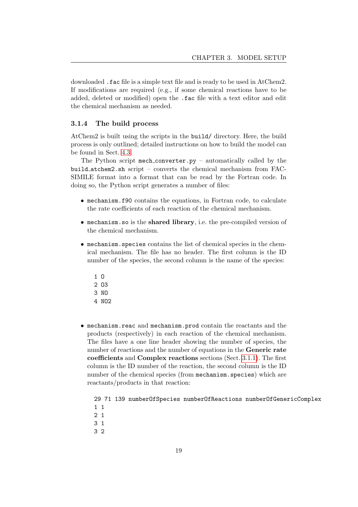downloaded .fac file is a simple text file and is ready to be used in AtChem2. If modifications are required (e.g., if some chemical reactions have to be added, deleted or modified) open the .fac file with a text editor and edit the chemical mechanism as needed.

### <span id="page-19-0"></span>3.1.4 The build process

AtChem2 is built using the scripts in the build/ directory. Here, the build process is only outlined; detailed instructions on how to build the model can be found in Sect. [4.3.](#page-37-0)

The Python script mech converter.py – automatically called by the build atchem2.sh script – converts the chemical mechanism from FAC-SIMILE format into a format that can be read by the Fortran code. In doing so, the Python script generates a number of files:

- mechanism.f90 contains the equations, in Fortran code, to calculate the rate coefficients of each reaction of the chemical mechanism.
- mechanism.so is the shared library, i.e. the pre-compiled version of the chemical mechanism.
- mechanism.species contains the list of chemical species in the chemical mechanism. The file has no header. The first column is the ID number of the species, the second column is the name of the species:
	- 1 O
	- $2.03$
	- 3 NO
	- 4 NO<sub>2</sub>
- mechanism.reac and mechanism.prod contain the reactants and the products (respectively) in each reaction of the chemical mechanism. The files have a one line header showing the number of species, the number of reactions and the number of equations in the Generic rate coefficients and Complex reactions sections (Sect. [3.1.1\)](#page-15-2). The first column is the ID number of the reaction, the second column is the ID number of the chemical species (from mechanism.species) which are reactants/products in that reaction:

29 71 139 numberOfSpecies numberOfReactions numberOfGenericComplex 1 1

- 2 1
- 3 1
- 3 2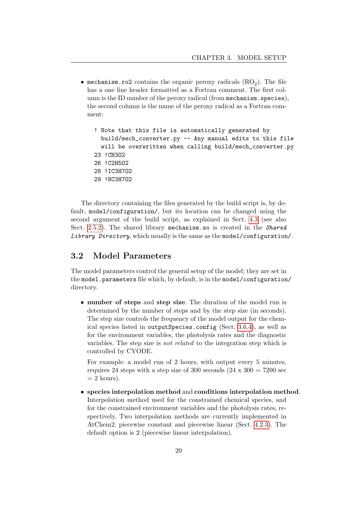- mechanism.ro2 contains the organic peroxy radicals  $(RO_2)$ . The file has a one line header formatted as a Fortran comment. The first column is the ID number of the peroxy radical (from mechanism. species), the second column is the name of the peroxy radical as a Fortran comment:
	- ! Note that this file is automatically generated by build/mech\_converter.py -- Any manual edits to this file will be overwritten when calling build/mech\_converter.py 23 !CH3O2
	- 26 !C2H5O2

```
28 !IC3H7O2
```
29 !NC3H7O2

The directory containing the files generated by the build script is, by default, model/configuration/, but its location can be changed using the second argument of the build script, as explained in Sect. [4.3](#page-37-0) (see also Sect. [2.5.2\)](#page-13-0). The shared library mechanism.so is created in the Shared Library Directory, which usually is the same as the model/configuration/.

### <span id="page-20-0"></span>3.2 Model Parameters

The model parameters control the general setup of the model; they are set in the model.parameters file which, by default, is in the model/configuration/ directory.

• number of steps and step size. The duration of the model run is determined by the number of steps and by the step size (in seconds). The step size controls the frequency of the model output for the chemical species listed in outputSpecies.config (Sect. [3.6.4\)](#page-30-2), as well as for the environment variables, the photolysis rates and the diagnostic variables. The step size is not related to the integration step which is controlled by CVODE.

For example: a model run of 2 hours, with output every 5 minutes, requires 24 steps with a step size of 300 seconds  $(24 \times 300 = 7200 \text{ sec})$  $= 2$  hours).

• species interpolation method and conditions interpolation method. Interpolation method used for the constrained chemical species, and for the constrained environment variables and the photolysis rates, respectively. Two interpolation methods are currently implemented in AtChem2: piecewise constant and piecewise linear (Sect. [4.2.3\)](#page-35-1). The default option is 2 (piecewise linear interpolation).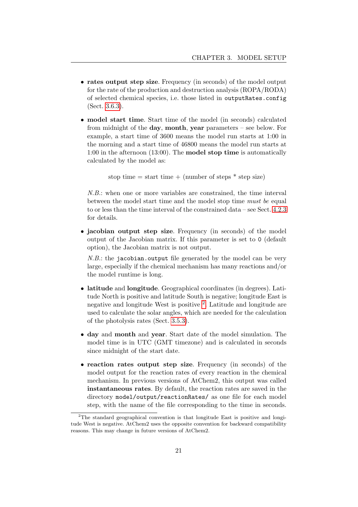- rates output step size. Frequency (in seconds) of the model output for the rate of the production and destruction analysis (ROPA/RODA) of selected chemical species, i.e. those listed in outputRates.config (Sect. [3.6.3\)](#page-30-1).
- model start time. Start time of the model (in seconds) calculated from midnight of the day, month, year parameters – see below. For example, a start time of 3600 means the model run starts at 1:00 in the morning and a start time of 46800 means the model run starts at 1:00 in the afternoon (13:00). The model stop time is automatically calculated by the model as:

```
stop time = start time + (number of steps * step size)
```
N.B.: when one or more variables are constrained, the time interval between the model start time and the model stop time must be equal to or less than the time interval of the constrained data – see Sect. [4.2.3](#page-35-1) for details.

• jacobian output step size. Frequency (in seconds) of the model output of the Jacobian matrix. If this parameter is set to 0 (default option), the Jacobian matrix is not output.

N.B.: the jacobian.output file generated by the model can be very large, especially if the chemical mechanism has many reactions and/or the model runtime is long.

- latitude and longitude. Geographical coordinates (in degrees). Latitude North is positive and latitude South is negative; longitude East is negative and longitude West is positive <sup>[2](#page-21-0)</sup>. Latitude and longitude are used to calculate the solar angles, which are needed for the calculation of the photolysis rates (Sect. [3.5.3\)](#page-27-1).
- day and month and year. Start date of the model simulation. The model time is in UTC (GMT timezone) and is calculated in seconds since midnight of the start date.
- reaction rates output step size. Frequency (in seconds) of the model output for the reaction rates of every reaction in the chemical mechanism. In previous versions of AtChem2, this output was called instantaneous rates. By default, the reaction rates are saved in the directory model/output/reactionRates/ as one file for each model step, with the name of the file corresponding to the time in seconds.

<span id="page-21-0"></span><sup>&</sup>lt;sup>2</sup>The standard geographical convention is that longitude East is positive and longitude West is negative. AtChem2 uses the opposite convention for backward compatibility reasons. This may change in future versions of AtChem2.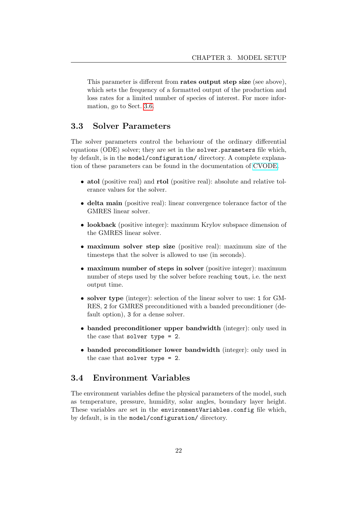This parameter is different from rates output step size (see above), which sets the frequency of a formatted output of the production and loss rates for a limited number of species of interest. For more information, go to Sect. [3.6.](#page-29-0)

## <span id="page-22-0"></span>3.3 Solver Parameters

The solver parameters control the behaviour of the ordinary differential equations (ODE) solver; they are set in the solver.parameters file which, by default, is in the model/configuration/ directory. A complete explanation of these parameters can be found in the documentation of [CVODE.](https://computation.llnl.gov/projects/sundials/)

- atol (positive real) and **rtol** (positive real): absolute and relative tolerance values for the solver.
- delta main (positive real): linear convergence tolerance factor of the GMRES linear solver.
- lookback (positive integer): maximum Krylov subspace dimension of the GMRES linear solver.
- maximum solver step size (positive real): maximum size of the timesteps that the solver is allowed to use (in seconds).
- maximum number of steps in solver (positive integer): maximum number of steps used by the solver before reaching tout, i.e. the next output time.
- solver type (integer): selection of the linear solver to use: 1 for GM-RES, 2 for GMRES preconditioned with a banded preconditioner (default option), 3 for a dense solver.
- banded preconditioner upper bandwidth (integer): only used in the case that solver type = 2.
- banded preconditioner lower bandwidth (integer): only used in the case that solver type = 2.

## <span id="page-22-1"></span>3.4 Environment Variables

The environment variables define the physical parameters of the model, such as temperature, pressure, humidity, solar angles, boundary layer height. These variables are set in the environmentVariables.config file which, by default, is in the model/configuration/ directory.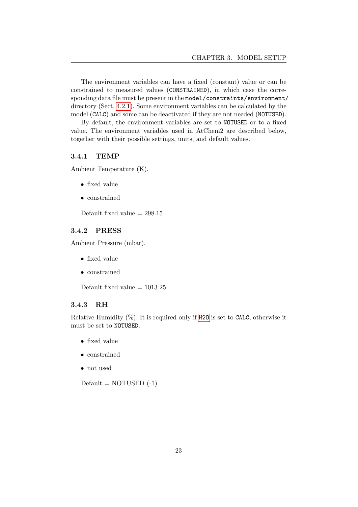The environment variables can have a fixed (constant) value or can be constrained to measured values (CONSTRAINED), in which case the corresponding data file must be present in the model/constraints/environment/ directory (Sect. [4.2.1\)](#page-34-1). Some environment variables can be calculated by the model (CALC) and some can be deactivated if they are not needed (NOTUSED).

By default, the environment variables are set to NOTUSED or to a fixed value. The environment variables used in AtChem2 are described below, together with their possible settings, units, and default values.

#### <span id="page-23-0"></span>3.4.1 TEMP

Ambient Temperature (K).

- fixed value
- constrained

Default fixed value  $= 298.15$ 

#### <span id="page-23-1"></span>3.4.2 PRESS

Ambient Pressure (mbar).

- fixed value
- constrained

Default fixed value  $= 1013.25$ 

#### <span id="page-23-2"></span>3.4.3 RH

Relative Humidity  $(\%)$ . It is required only if [H2O](#page-24-0) is set to CALC, otherwise it must be set to NOTUSED.

- fixed value
- constrained
- not used

 $Default = NOTUSED (-1)$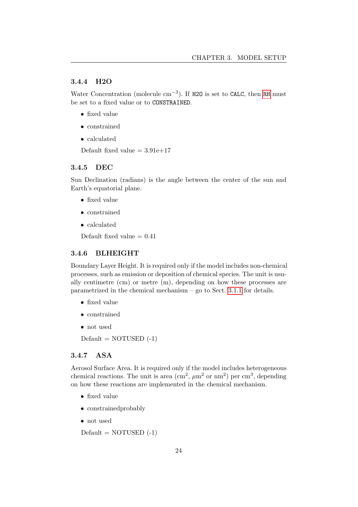#### <span id="page-24-0"></span>3.4.4 H2O

Water Concentration (molecule  $cm^{-3}$ ). If H2O is set to CALC, then [RH](#page-23-2) must be set to a fixed value or to CONSTRAINED.

- fixed value
- constrained
- calculated

Default fixed value  $= 3.91e+17$ 

#### <span id="page-24-1"></span>3.4.5 DEC

Sun Declination (radians) is the angle between the center of the sun and Earth's equatorial plane.

- fixed value
- constrained
- calculated

Default fixed value  $= 0.41$ 

#### <span id="page-24-2"></span>3.4.6 BLHEIGHT

Boundary Layer Height. It is required only if the model includes non-chemical processes, such as emission or deposition of chemical species. The unit is usually centimetre (cm) or metre (m), depending on how these processes are parametrized in the chemical mechanism – go to Sect. [3.1.1](#page-15-2) for details.

- fixed value
- constrained
- not used

 $Default = NOTUSED (-1)$ 

#### <span id="page-24-3"></span>3.4.7 ASA

Aerosol Surface Area. It is required only if the model includes heterogeneous chemical reactions. The unit is area  $(\text{cm}^2, \mu \text{m}^2 \text{ or } \text{nm}^2)$  per cm<sup>3</sup>, depending on how these reactions are implemented in the chemical mechanism.

- fixed value
- constrainedprobably
- not used

 $Default = NOTUSED (-1)$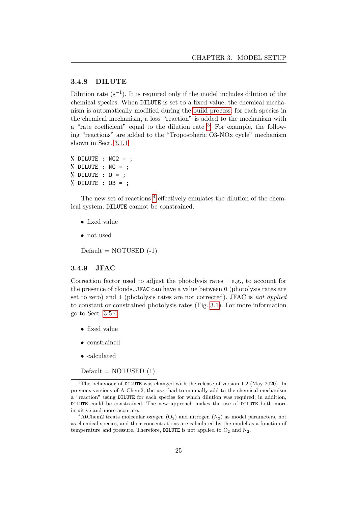#### <span id="page-25-0"></span>3.4.8 DILUTE

Dilution rate  $(s^{-1})$ . It is required only if the model includes dilution of the chemical species. When DILUTE is set to a fixed value, the chemical mechanism is automatically modified during the [build process:](#page-19-0) for each species in the chemical mechanism, a loss "reaction" is added to the mechanism with a "rate coefficient" equal to the dilution rate  $3$ . For example, the following "reactions" are added to the "Tropospheric O3-NOx cycle" mechanism shown in Sect. [3.1.1:](#page-15-2)

```
% DILUTE : NO2 = ;
% DILUTE : NO = ;
% DILUTE : 0 = ;
% DILUTE : O3 = ;
```
The new set of reactions <sup>[4](#page-25-3)</sup> effectively emulates the dilution of the chemical system. DILUTE cannot be constrained.

- fixed value
- not used

 $Default = NOTUSED (-1)$ 

#### <span id="page-25-1"></span>3.4.9 JFAC

Correction factor used to adjust the photolysis rates  $-$  e.g., to account for the presence of clouds. JFAC can have a value between 0 (photolysis rates are set to zero) and 1 (photolysis rates are not corrected). JFAC is not applied to constant or constrained photolysis rates (Fig. [3.1\)](#page-27-2). For more information go to Sect. [3.5.4.](#page-28-0)

- fixed value
- constrained
- calculated

 $Default = NOTUSED(1)$ 

<span id="page-25-2"></span><sup>&</sup>lt;sup>3</sup>The behaviour of DILUTE was changed with the release of version 1.2 (May 2020). In previous versions of AtChem2, the user had to manually add to the chemical mechanism a "reaction" using DILUTE for each species for which dilution was required; in addition, DILUTE could be constrained. The new approach makes the use of DILUTE both more intuitive and more accurate.

<span id="page-25-3"></span><sup>&</sup>lt;sup>4</sup>AtChem2 treats molecular oxygen  $(O_2)$  and nitrogen  $(N_2)$  as model parameters, not as chemical species, and their concentrations are calculated by the model as a function of temperature and pressure. Therefore, DILUTE is not applied to  $O_2$  and  $N_2$ .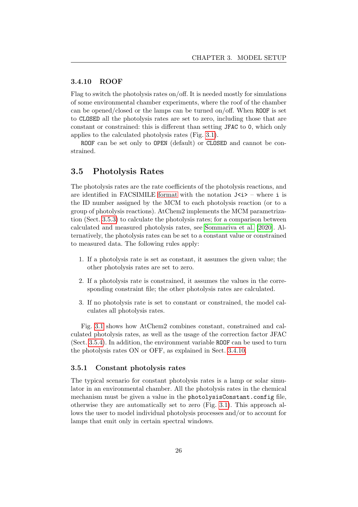#### <span id="page-26-0"></span>3.4.10 ROOF

Flag to switch the photolysis rates on/off. It is needed mostly for simulations of some environmental chamber experiments, where the roof of the chamber can be opened/closed or the lamps can be turned on/off. When ROOF is set to CLOSED all the photolysis rates are set to zero, including those that are constant or constrained: this is different than setting JFAC to 0, which only applies to the calculated photolysis rates (Fig. [3.1\)](#page-27-2).

ROOF can be set only to OPEN (default) or CLOSED and cannot be constrained.

### <span id="page-26-1"></span>3.5 Photolysis Rates

The photolysis rates are the rate coefficients of the photolysis reactions, and are identified in FACSIMILE [format](#page-15-2) with the notation  $J\langle i\rangle$  – where i is the ID number assigned by the MCM to each photolysis reaction (or to a group of photolysis reactions). AtChem2 implements the MCM parametrization (Sect. [3.5.3\)](#page-27-1) to calculate the photolysis rates; for a comparison between calculated and measured photolysis rates, see [Sommariva et al.](#page-54-2) [\[2020\]](#page-54-2). Alternatively, the photolysis rates can be set to a constant value or constrained to measured data. The following rules apply:

- 1. If a photolysis rate is set as constant, it assumes the given value; the other photolysis rates are set to zero.
- 2. If a photolysis rate is constrained, it assumes the values in the corresponding constraint file; the other photolysis rates are calculated.
- 3. If no photolysis rate is set to constant or constrained, the model calculates all photolysis rates.

Fig. [3.1](#page-27-2) shows how AtChem2 combines constant, constrained and calculated photolysis rates, as well as the usage of the correction factor JFAC (Sect. [3.5.4\)](#page-28-0). In addition, the environment variable ROOF can be used to turn the photolysis rates ON or OFF, as explained in Sect. [3.4.10.](#page-26-0)

#### <span id="page-26-2"></span>3.5.1 Constant photolysis rates

The typical scenario for constant photolysis rates is a lamp or solar simulator in an environmental chamber. All the photolysis rates in the chemical mechanism must be given a value in the photolysisConstant.config file, otherwise they are automatically set to zero (Fig. [3.1\)](#page-27-2). This approach allows the user to model individual photolysis processes and/or to account for lamps that emit only in certain spectral windows.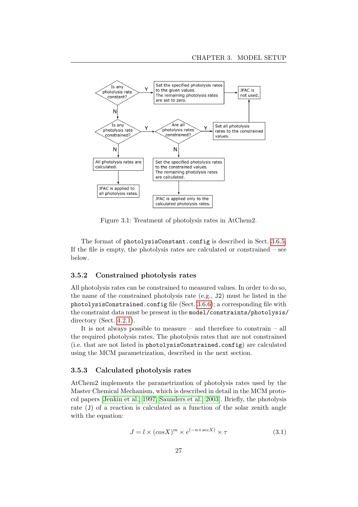<span id="page-27-2"></span>

Figure 3.1: Treatment of photolysis rates in AtChem2.

The format of photolysisConstant.config is described in Sect. [3.6.5.](#page-31-0) If the file is empty, the photolysis rates are calculated or constrained – see below.

#### <span id="page-27-0"></span>3.5.2 Constrained photolysis rates

All photolysis rates can be constrained to measured values. In order to do so, the name of the constrained photolysis rate (e.g., J2) must be listed in the photolysisConstrained.config file (Sect. [3.6.6\)](#page-31-1); a corresponding file with the constraint data must be present in the model/constraints/photolysis/ directory (Sect. [4.2.1\)](#page-34-1).

It is not always possible to measure – and therefore to constrain – all the required photolysis rates. The photolysis rates that are not constrained (i.e. that are not listed in photolysisConstrained.config) are calculated using the MCM parametrization, described in the next section.

#### <span id="page-27-1"></span>3.5.3 Calculated photolysis rates

AtChem2 implements the parametrization of photolysis rates used by the Master Chemical Mechanism, which is described in detail in the MCM protocol papers [\[Jenkin et al., 1997,](#page-53-1) [Saunders et al., 2003\]](#page-54-0). Briefly, the photolysis rate (J) of a reaction is calculated as a function of the solar zenith angle with the equation:

$$
J = l \times (cos X)^m \times e^{(-n \times sec X)} \times \tau
$$
\n(3.1)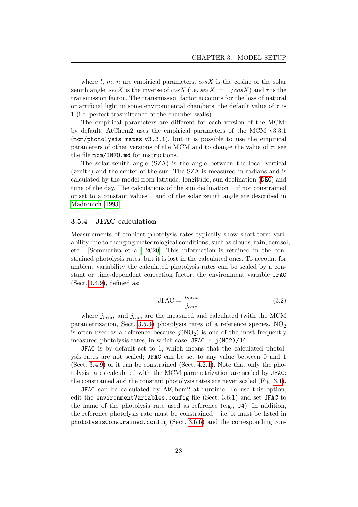where l, m, n are empirical parameters,  $\cos X$  is the cosine of the solar zenith angle, secX is the inverse of cosX (i.e. secX =  $1/cosX$ ) and  $\tau$  is the transmission factor. The transmission factor accounts for the loss of natural or artificial light in some environmental chambers: the default value of  $\tau$  is 1 (i.e. perfect trasmittance of the chamber walls).

The empirical parameters are different for each version of the MCM: by default, AtChem2 uses the empirical parameters of the MCM v3.3.1  $(mcm/photolysis-rates_v3.3.1)$ , but it is possible to use the empirical parameters of other versions of the MCM and to change the value of  $\tau$ : see the file mcm/INFO.md for instructions.

The solar zenith angle (SZA) is the angle between the local vertical (zenith) and the center of the sun. The SZA is measured in radians and is calculated by the model from latitude, longitude, sun declination ([DEC](#page-24-1)) and time of the day. The calculations of the sun declination – if not constrained or set to a constant values – and of the solar zenith angle are described in [Madronich](#page-53-7) [\[1993\]](#page-53-7).

#### <span id="page-28-0"></span>3.5.4 JFAC calculation

Measurements of ambient photolysis rates typically show short-term variability due to changing meteorological conditions, such as clouds, rain, aerosol, etc. . . [\[Sommariva et al., 2020\]](#page-54-2). This information is retained in the constrained photolysis rates, but it is lost in the calculated ones. To account for ambient variability the calculated photolysis rates can be scaled by a constant or time-dependent correction factor, the environment variable JFAC (Sect. [3.4.9\)](#page-25-1), defined as:

$$
JFAC = \frac{j_{meas}}{j_{calc}}
$$
 (3.2)

where  $j_{meas}$  and  $j_{calc}$  are the measured and calculated (with the MCM parametrization, Sect. [3.5.3\)](#page-27-1) photolysis rates of a reference species.  $NO_2$ is often used as a reference because  $j(NO<sub>2</sub>)$  is one of the most frequently measured photolysis rates, in which case: JFAC = j(NO2)/J4.

JFAC is by default set to 1, which means that the calculated photolysis rates are not scaled; JFAC can be set to any value between 0 and 1 (Sect. [3.4.9\)](#page-25-1) or it can be constrained (Sect. [4.2.1\)](#page-34-1). Note that only the photolysis rates calculated with the MCM parametrization are scaled by JFAC: the constrained and the constant photolysis rates are never scaled (Fig. [3.1\)](#page-27-2).

JFAC can be calculated by AtChem2 at runtime. To use this option, edit the environmentVariables.config file (Sect. [3.6.1\)](#page-29-1) and set JFAC to the name of the photolysis rate used as reference (e.g., J4). In addition, the reference photolysis rate must be constrained – i.e. it must be listed in photolysisConstrained.config (Sect. [3.6.6\)](#page-31-1) and the corresponding con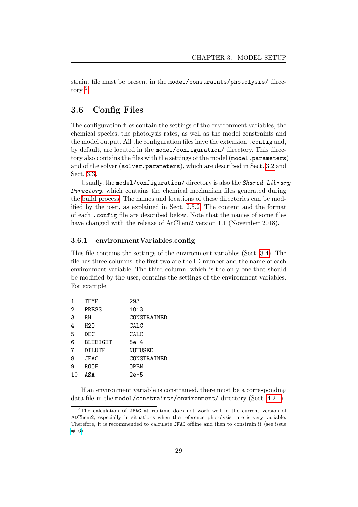straint file must be present in the model/constraints/photolysis/ directory [5](#page-29-2) .

## <span id="page-29-0"></span>3.6 Config Files

The configuration files contain the settings of the environment variables, the chemical species, the photolysis rates, as well as the model constraints and the model output. All the configuration files have the extension .config and, by default, are located in the model/configuration/ directory. This directory also contains the files with the settings of the model (model.parameters) and of the solver (solver.parameters), which are described in Sect. [3.2](#page-20-0) and Sect. [3.3.](#page-22-0)

Usually, the model/configuration/ directory is also the Shared Library Directory, which contains the chemical mechanism files generated during the [build process.](#page-19-0) The names and locations of these directories can be modified by the user, as explained in Sect. [2.5.2.](#page-13-0) The content and the format of each .config file are described below. Note that the names of some files have changed with the release of AtChem2 version 1.1 (November 2018).

#### <span id="page-29-1"></span>3.6.1 environmentVariables.config

This file contains the settings of the environment variables (Sect. [3.4\)](#page-22-1). The file has three columns: the first two are the ID number and the name of each environment variable. The third column, which is the only one that should be modified by the user, contains the settings of the environment variables. For example:

| 1              | TEMP     | 293         |
|----------------|----------|-------------|
| 2              | PRESS    | 1013        |
| 3              | RH       | CONSTRAINED |
| 4              | H20      | CALC        |
| 5              | DEC      | CALC        |
| 6              | BLHEIGHT | 8e+4        |
| $\overline{7}$ | DILUTE   | NOTUSED     |
| 8              | JFAC     | CONSTRAINED |
| 9              | ROOF     | OPEN        |
| 10             | ASA      | 2e-5        |

If an environment variable is constrained, there must be a corresponding data file in the model/constraints/environment/ directory (Sect. [4.2.1\)](#page-34-1).

<span id="page-29-2"></span><sup>&</sup>lt;sup>5</sup>The calculation of JFAC at runtime does not work well in the current version of AtChem2, especially in situations when the reference photolysis rate is very variable. Therefore, it is recommended to calculate JFAC offline and then to constrain it (see issue  $#16$ ).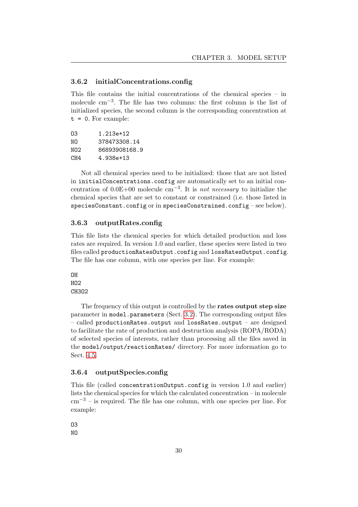#### <span id="page-30-0"></span>3.6.2 initialConcentrations.config

This file contains the initial concentrations of the chemical species – in molecule cm−<sup>3</sup> . The file has two columns: the first column is the list of initialized species, the second column is the corresponding concentration at  $t = 0$ . For example:

```
O3 1.213e+12
NO 378473308.14
NO2 86893908168.9
CH4 4.938e+13
```
Not all chemical species need to be initialized: those that are not listed in initialConcentrations.config are automatically set to an initial concentration of  $0.0E+00$  molecule cm<sup>-3</sup>. It is *not necessary* to initialize the chemical species that are set to constant or constrained (i.e. those listed in speciesConstant.config or in speciesConstrained.config – see below).

#### <span id="page-30-1"></span>3.6.3 outputRates.config

This file lists the chemical species for which detailed production and loss rates are required. In version 1.0 and earlier, these species were listed in two files called productionRatesOutput.config and lossRatesOutput.config. The file has one column, with one species per line. For example:

```
OH
HO2
CH3O2
```
The frequency of this output is controlled by the **rates output step size** parameter in model.parameters (Sect. [3.2\)](#page-20-0). The corresponding output files – called productionRates.output and lossRates.output – are designed to facilitate the rate of production and destruction analysis (ROPA/RODA) of selected species of interests, rather than processing all the files saved in the model/output/reactionRates/ directory. For more information go to Sect. [4.5.](#page-41-0)

#### <span id="page-30-2"></span>3.6.4 outputSpecies.config

This file (called concentrationOutput.config in version 1.0 and earlier) lists the chemical species for which the calculated concentration – in molecule  $\text{cm}^{-3}$  – is required. The file has one column, with one species per line. For example:

O3

NO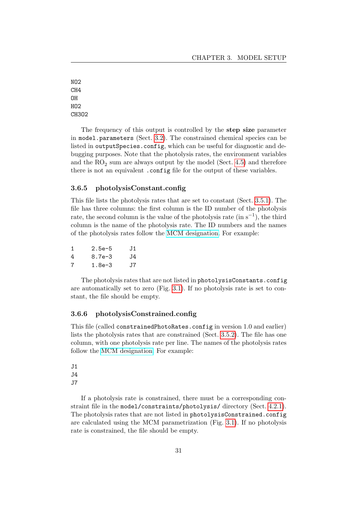NO2 CH4 OH HO2 CH3O2

The frequency of this output is controlled by the **step size** parameter in model.parameters (Sect. [3.2\)](#page-20-0). The constrained chemical species can be listed in outputSpecies.config, which can be useful for diagnostic and debugging purposes. Note that the photolysis rates, the environment variables and the  $RO<sub>2</sub>$  sum are always output by the model (Sect. [4.5\)](#page-41-0) and therefore there is not an equivalent .config file for the output of these variables.

#### <span id="page-31-0"></span>3.6.5 photolysisConstant.config

This file lists the photolysis rates that are set to constant (Sect. [3.5.1\)](#page-26-2). The file has three columns: the first column is the ID number of the photolysis rate, the second column is the value of the photolysis rate  $(in s<sup>-1</sup>)$ , the third column is the name of the photolysis rate. The ID numbers and the names of the photolysis rates follow the [MCM designation.](http://mcm.leeds.ac.uk/MCM/parameters/photolysis.htt) For example:

| 1 | 2.5e-5 | J1  |
|---|--------|-----|
| 4 | 8.7e-3 | J4  |
| 7 | 1.8e-3 | .T7 |

The photolysis rates that are not listed in photolysisConstants.config are automatically set to zero (Fig. [3.1\)](#page-27-2). If no photolysis rate is set to constant, the file should be empty.

#### <span id="page-31-1"></span>3.6.6 photolysisConstrained.config

This file (called constrainedPhotoRates.config in version 1.0 and earlier) lists the photolysis rates that are constrained (Sect. [3.5.2\)](#page-27-0). The file has one column, with one photolysis rate per line. The names of the photolysis rates follow the [MCM designation.](http://mcm.leeds.ac.uk/MCM/parameters/photolysis.htt) For example:

J1 J4 J7

If a photolysis rate is constrained, there must be a corresponding constraint file in the model/constraints/photolysis/ directory (Sect. [4.2.1\)](#page-34-1). The photolysis rates that are not listed in photolysisConstrained.config are calculated using the MCM parametrization (Fig. [3.1\)](#page-27-2). If no photolysis rate is constrained, the file should be empty.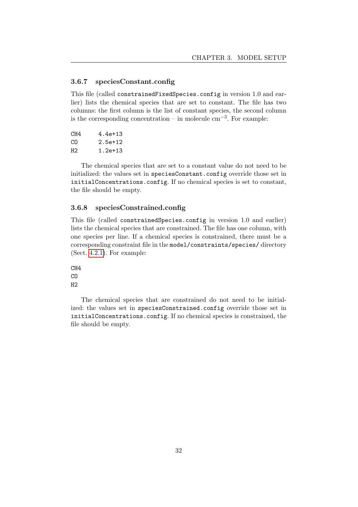#### <span id="page-32-0"></span>3.6.7 speciesConstant.config

This file (called constrainedFixedSpecies.config in version 1.0 and earlier) lists the chemical species that are set to constant. The file has two columns: the first column is the list of constant species, the second column is the corresponding concentration – in molecule  $\text{cm}^{-3}$ . For example:

| 4.4e+13 |
|---------|
| 2.5e+12 |
| 1.2e+13 |
|         |

The chemical species that are set to a constant value do not need to be initialized: the values set in speciesConstant.config override those set in initialConcentrations.config. If no chemical species is set to constant, the file should be empty.

#### <span id="page-32-1"></span>3.6.8 speciesConstrained.config

This file (called constrainedSpecies.config in version 1.0 and earlier) lists the chemical species that are constrained. The file has one column, with one species per line. If a chemical species is constrained, there must be a corresponding constraint file in the model/constraints/species/ directory (Sect. [4.2.1\)](#page-34-1). For example:

CH4 CO H2

The chemical species that are constrained do not need to be initialized: the values set in speciesConstrained.config override those set in initialConcentrations.config. If no chemical species is constrained, the file should be empty.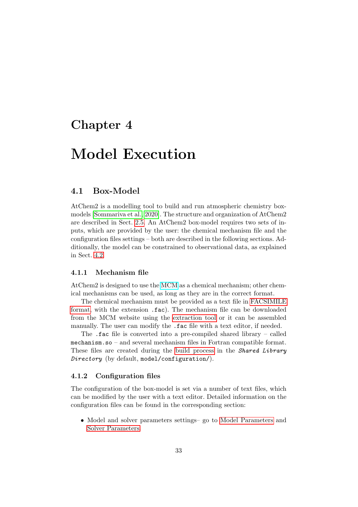## <span id="page-33-0"></span>Chapter 4

## Model Execution

### <span id="page-33-1"></span>4.1 Box-Model

AtChem2 is a modelling tool to build and run atmospheric chemistry boxmodels [\[Sommariva et al., 2020\]](#page-54-2). The structure and organization of AtChem2 are described in Sect. [2.5.](#page-11-1) An AtChem2 box-model requires two sets of inputs, which are provided by the user: the chemical mechanism file and the configuration files settings – both are described in the following sections. Additionally, the model can be constrained to observational data, as explained in Sect. [4.2.](#page-34-0)

#### <span id="page-33-2"></span>4.1.1 Mechanism file

AtChem2 is designed to use the [MCM](http://mcm.leeds.ac.uk/MCM/) as a chemical mechanism; other chemical mechanisms can be used, as long as they are in the correct format.

The chemical mechanism must be provided as a text file in [FACSIMILE](#page-15-2) [format,](#page-15-2) with the extension .fac). The mechanism file can be downloaded from the MCM website using the [extraction tool](#page-18-0) or it can be assembled manually. The user can modify the .fac file with a text editor, if needed.

The .fac file is converted into a pre-compiled shared library – called mechanism.so – and several mechanism files in Fortran compatible format. These files are created during the [build process](#page-19-0) in the *Shared Library* Directory (by default, model/configuration/).

#### <span id="page-33-3"></span>4.1.2 Configuration files

The configuration of the box-model is set via a number of text files, which can be modified by the user with a text editor. Detailed information on the configuration files can be found in the corresponding section:

• Model and solver parameters settings– go to [Model Parameters](#page-20-0) and [Solver Parameters.](#page-22-0)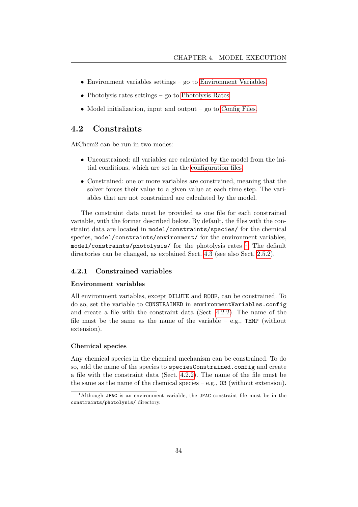- Environment variables settings go to [Environment Variables.](#page-22-1)
- Photolysis rates settings go to [Photolysis Rates.](#page-26-1)
- Model initialization, input and output go to [Config Files.](#page-29-0)

## <span id="page-34-0"></span>4.2 Constraints

AtChem2 can be run in two modes:

- Unconstrained: all variables are calculated by the model from the initial conditions, which are set in the [configuration files.](#page-33-3)
- Constrained: one or more variables are constrained, meaning that the solver forces their value to a given value at each time step. The variables that are not constrained are calculated by the model.

The constraint data must be provided as one file for each constrained variable, with the format described below. By default, the files with the constraint data are located in model/constraints/species/ for the chemical species, model/constraints/environment/ for the environment variables, <code>model/constraints/photolysis/</code> for the photolysis rates  $^{\mathrm{1}}.$  $^{\mathrm{1}}.$  $^{\mathrm{1}}.$  The default directories can be changed, as explained Sect. [4.3](#page-37-0) (see also Sect. [2.5.2\)](#page-13-0).

#### <span id="page-34-1"></span>4.2.1 Constrained variables

#### Environment variables

All environment variables, except DILUTE and ROOF, can be constrained. To do so, set the variable to CONSTRAINED in environmentVariables.config and create a file with the constraint data (Sect. [4.2.2\)](#page-35-0). The name of the file must be the same as the name of the variable – e.g.,  $TEMP$  (without extension).

#### Chemical species

Any chemical species in the chemical mechanism can be constrained. To do so, add the name of the species to speciesConstrained.config and create a file with the constraint data (Sect. [4.2.2\)](#page-35-0). The name of the file must be the same as the name of the chemical species – e.g.,  $\overline{03}$  (without extension).

<span id="page-34-2"></span><sup>&</sup>lt;sup>1</sup>Although JFAC is an environment variable, the JFAC constraint file must be in the constraints/photolysis/ directory.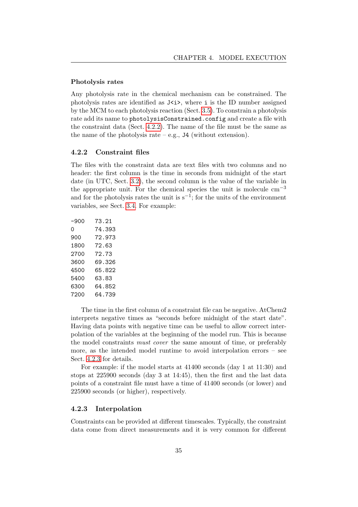#### Photolysis rates

Any photolysis rate in the chemical mechanism can be constrained. The photolysis rates are identified as  $J\langle i \rangle$ , where i is the ID number assigned by the MCM to each photolysis reaction (Sect. [3.5\)](#page-26-1). To constrain a photolysis rate add its name to photolysisConstrained.config and create a file with the constraint data (Sect. [4.2.2\)](#page-35-0). The name of the file must be the same as the name of the photolysis rate – e.g.,  $J4$  (without extension).

#### <span id="page-35-0"></span>4.2.2 Constraint files

The files with the constraint data are text files with two columns and no header: the first column is the time in seconds from midnight of the start date (in UTC, Sect. [3.2\)](#page-20-0), the second column is the value of the variable in the appropriate unit. For the chemical species the unit is molecule  $cm^{-3}$ and for the photolysis rates the unit is  $s^{-1}$ ; for the units of the environment variables, see Sect. [3.4.](#page-22-1) For example:

| -900 | 73.21  |
|------|--------|
| Ω    | 74.393 |
| 900  | 72.973 |
| 1800 | 72.63  |
| 2700 | 72.73  |
| 3600 | 69.326 |
| 4500 | 65.822 |
| 5400 | 63.83  |
| 6300 | 64.852 |
| 7200 | 64.739 |
|      |        |

The time in the first column of a constraint file can be negative. AtChem2 interprets negative times as "seconds before midnight of the start date". Having data points with negative time can be useful to allow correct interpolation of the variables at the beginning of the model run. This is because the model constraints must cover the same amount of time, or preferably more, as the intended model runtime to avoid interpolation errors – see Sect. [4.2.3](#page-35-1) for details.

For example: if the model starts at 41400 seconds (day 1 at 11:30) and stops at 225900 seconds (day 3 at 14:45), then the first and the last data points of a constraint file must have a time of 41400 seconds (or lower) and 225900 seconds (or higher), respectively.

#### <span id="page-35-1"></span>4.2.3 Interpolation

Constraints can be provided at different timescales. Typically, the constraint data come from direct measurements and it is very common for different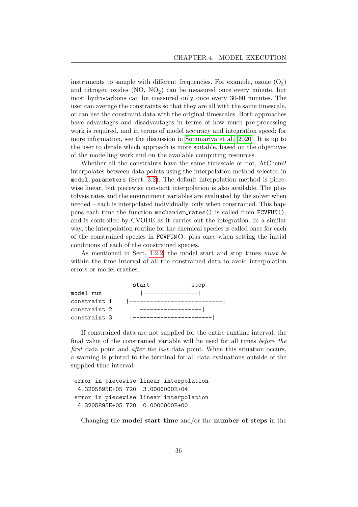instruments to sample with different frequencies. For example, ozone  $(O_3)$ and nitrogen oxides  $(NO, NO<sub>2</sub>)$  can be measured once every minute, but most hydrocarbons can be measured only once every 30-60 minutes. The user can average the constraints so that they are all with the same timescale, or can use the constraint data with the original timescales. Both approaches have advantages and disadvantages in terms of how much pre-processing work is required, and in terms of model accuracy and integration speed: for more information, see the discussion in [Sommariva et al.](#page-54-2) [\[2020\]](#page-54-2). It is up to the user to decide which approach is more suitable, based on the objectives of the modelling work and on the available computing resources.

Whether all the constraints have the same timescale or not, AtChem2 interpolates between data points using the interpolation method selected in model.parameters (Sect. [3.2\)](#page-20-0). The default interpolation method is piecewise linear, but piecewise constant interpolation is also available. The photolysis rates and the environment variables are evaluated by the solver when needed – each is interpolated individually, only when constrained. This happens each time the function mechanism rates() is called from FCVFUN(), and is controlled by CVODE as it carries out the integration. In a similar way, the interpolation routine for the chemical species is called once for each of the constrained species in FCVFUN(), plus once when setting the initial conditions of each of the constrained species.

As mentioned in Sect. [4.2.2,](#page-35-0) the model start and stop times must be within the time interval of all the constrained data to avoid interpolation errors or model crashes.

|              | start                               | stop |
|--------------|-------------------------------------|------|
| model run    | ----------------                    |      |
| constraint 1 | <u>  __________________________</u> |      |
| constraint 2 | -----------------                   |      |
| constraint 3 | ________________________            |      |

If constrained data are not supplied for the entire runtime interval, the final value of the constrained variable will be used for all times before the first data point and *after the last* data point. When this situation occurs, a warning is printed to the terminal for all data evaluations outside of the supplied time interval:

```
error in piecewise linear interpolation
 4.3205895E+05 720 3.0000000E+04
error in piecewise linear interpolation
 4.3205895E+05 720 0.0000000E+00
```
Changing the **model start time** and/or the **number of steps** in the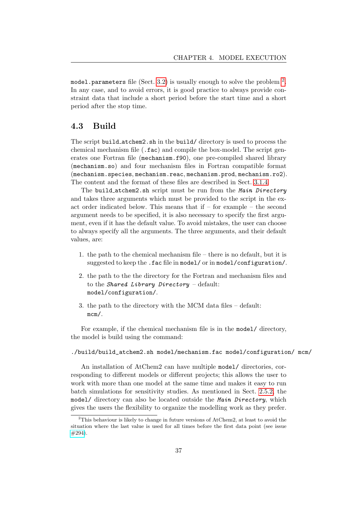<code>model.parameters</code> file (Sect. [3.2\)](#page-20-0) is usually enough to solve the problem  $^2.$  $^2.$  $^2.$ In any case, and to avoid errors, it is good practice to always provide constraint data that include a short period before the start time and a short period after the stop time.

## <span id="page-37-0"></span>4.3 Build

The script build atchem2.sh in the build/ directory is used to process the chemical mechanism file (.fac) and compile the box-model. The script generates one Fortran file (mechanism.f90), one pre-compiled shared library (mechanism.so) and four mechanism files in Fortran compatible format (mechanism.species, mechanism.reac, mechanism.prod, mechanism.ro2). The content and the format of these files are described in Sect. [3.1.4.](#page-19-0)

The build atchem2.sh script must be run from the Main Directory and takes three arguments which must be provided to the script in the exact order indicated below. This means that if – for example – the second argument needs to be specified, it is also necessary to specify the first argument, even if it has the default value. To avoid mistakes, the user can choose to always specify all the arguments. The three arguments, and their default values, are:

- 1. the path to the chemical mechanism file there is no default, but it is suggested to keep the .fac file in model/ or in model/configuration/.
- 2. the path to the the directory for the Fortran and mechanism files and to the Shared Library Directory – default: model/configuration/.
- 3. the path to the directory with the MCM data files default: mcm/.

For example, if the chemical mechanism file is in the model/ directory, the model is build using the command:

./build/build\_atchem2.sh model/mechanism.fac model/configuration/ mcm/

An installation of AtChem2 can have multiple model/ directories, corresponding to different models or different projects; this allows the user to work with more than one model at the same time and makes it easy to run batch simulations for sensitivity studies. As mentioned in Sect. [2.5.2,](#page-13-0) the model/ directory can also be located outside the Main Directory, which gives the users the flexibility to organize the modelling work as they prefer.

<span id="page-37-1"></span><sup>&</sup>lt;sup>2</sup>This behaviour is likely to change in future versions of AtChem2, at least to avoid the situation where the last value is used for all times before the first data point (see issue [#294\)](https://github.com/AtChem/AtChem2/issues/294).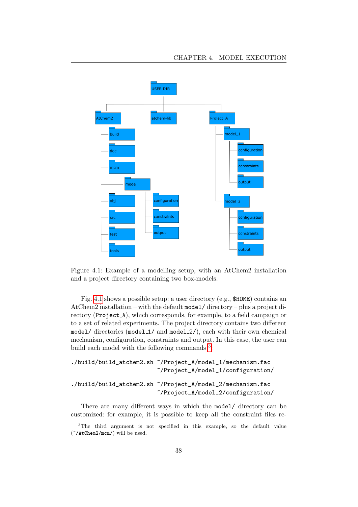<span id="page-38-0"></span>

Figure 4.1: Example of a modelling setup, with an AtChem2 installation and a project directory containing two box-models.

Fig. [4.1](#page-38-0) shows a possible setup: a user directory (e.g., \$HOME) contains an AtChem2 installation – with the default  ${model}/$  directory – plus a project directory (Project A), which corresponds, for example, to a field campaign or to a set of related experiments. The project directory contains two different model/ directories (model 1/ and model 2/), each with their own chemical mechanism, configuration, constraints and output. In this case, the user can build each model with the following commands <sup>[3](#page-38-1)</sup>:

```
./build/build_atchem2.sh ~/Project_A/model_1/mechanism.fac
                         ~/Project_A/model_1/configuration/
./build/build_atchem2.sh ~/Project_A/model_2/mechanism.fac
                         ~/Project_A/model_2/configuration/
```
There are many different ways in which the model/ directory can be customized: for example, it is possible to keep all the constraint files re-

<span id="page-38-1"></span> $3$ The third argument is not specified in this example, so the default value (~/AtChem2/mcm/) will be used.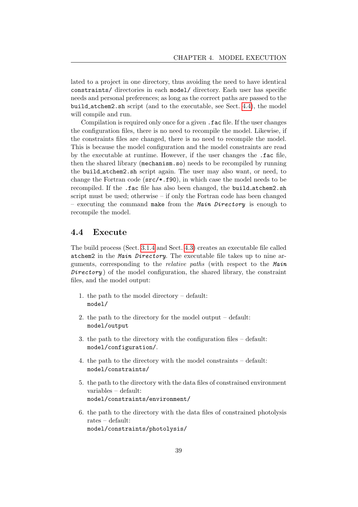lated to a project in one directory, thus avoiding the need to have identical constraints/ directories in each model/ directory. Each user has specific needs and personal preferences; as long as the correct paths are passed to the build atchem2.sh script (and to the executable, see Sect. [4.4\)](#page-39-0), the model will compile and run.

Compilation is required only once for a given .fac file. If the user changes the configuration files, there is no need to recompile the model. Likewise, if the constraints files are changed, there is no need to recompile the model. This is because the model configuration and the model constraints are read by the executable at runtime. However, if the user changes the .fac file, then the shared library (mechanism.so) needs to be recompiled by running the build atchem2.sh script again. The user may also want, or need, to change the Fortran code  $(\text{src} \neq \text{ .}f90)$ , in which case the model needs to be recompiled. If the .fac file has also been changed, the build atchem2.sh script must be used; otherwise – if only the Fortran code has been changed – executing the command make from the Main Directory is enough to recompile the model.

### <span id="page-39-0"></span>4.4 Execute

The build process (Sect. [3.1.4](#page-19-0) and Sect. [4.3\)](#page-37-0) creates an executable file called atchem2 in the Main Directory. The executable file takes up to nine arguments, corresponding to the *relative paths* (with respect to the Main  $Directory$ ) of the model configuration, the shared library, the constraint files, and the model output:

- 1. the path to the model directory default: model/
- 2. the path to the directory for the model output default: model/output
- 3. the path to the directory with the configuration files default: model/configuration/.
- 4. the path to the directory with the model constraints default: model/constraints/
- 5. the path to the directory with the data files of constrained environment variables – default: model/constraints/environment/
- 6. the path to the directory with the data files of constrained photolysis rates – default: model/constraints/photolysis/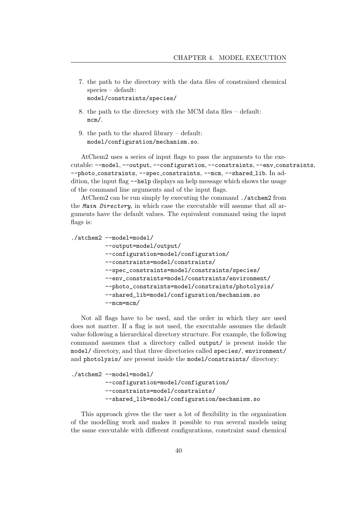- 7. the path to the directory with the data files of constrained chemical species – default: model/constraints/species/
- 8. the path to the directory with the MCM data files default: mcm/.
- 9. the path to the shared library default: model/configuration/mechanism.so.

AtChem2 uses a series of input flags to pass the arguments to the executable: --model, --output, --configuration, --constraints, --env constraints, --photo\_constraints, --spec\_constraints, --mcm, --shared\_lib. In addition, the input flag --help displays an help message which shows the usage of the command line arguments and of the input flags.

AtChem2 can be run simply by executing the command ./atchem2 from the Main Directory, in which case the executable will assume that all arguments have the default values. The equivalent command using the input flags is:

```
./atchem2 --model=model/
```
--output=model/output/ --configuration=model/configuration/ --constraints=model/constraints/ --spec\_constraints=model/constraints/species/ --env\_constraints=model/constraints/environment/ --photo\_constraints=model/constraints/photolysis/ --shared\_lib=model/configuration/mechanism.so --mcm=mcm/

Not all flags have to be used, and the order in which they are used does not matter. If a flag is not used, the executable assumes the default value following a hierarchical directory structure. For example, the following command assumes that a directory called output/ is present inside the model/ directory, and that three directories called species/, environment/ and photolysis/ are present inside the model/constraints/ directory:

```
./atchem2 --model=model/
         --configuration=model/configuration/
         --constraints=model/constraints/
         --shared_lib=model/configuration/mechanism.so
```
This approach gives the the user a lot of flexibility in the organization of the modelling work and makes it possible to run several models using the same executable with different configurations, constraint sand chemical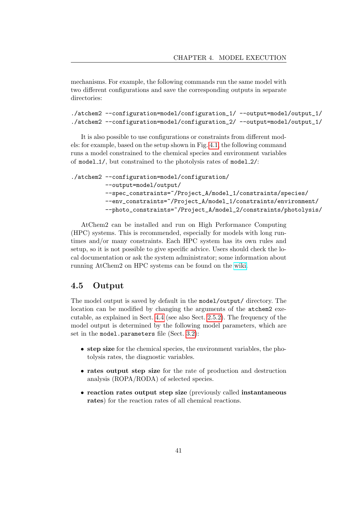mechanisms. For example, the following commands run the same model with two different configurations and save the corresponding outputs in separate directories:

```
./atchem2 --configuration=model/configuration_1/ --output=model/output_1/
./atchem2 --configuration=model/configuration_2/ --output=model/output_1/
```
It is also possible to use configurations or constraints from different models: for example, based on the setup shown in Fig. [4.1,](#page-38-0) the following command runs a model constrained to the chemical species and environment variables of model 1/, but constrained to the photolysis rates of model 2/:

```
./atchem2 --configuration=model/configuration/
         --output=model/output/
         --spec_constraints=~/Project_A/model_1/constraints/species/
         --env_constraints=~/Project_A/model_1/constraints/environment/
         --photo_constraints=~/Project_A/model_2/constraints/photolysis/
```
AtChem2 can be installed and run on High Performance Computing (HPC) systems. This is recommended, especially for models with long runtimes and/or many constraints. Each HPC system has its own rules and setup, so it is not possible to give specific advice. Users should check the local documentation or ask the system administrator; some information about running AtChem2 on HPC systems can be found on the [wiki.](https://github.com/AtChem/AtChem2/wiki/Running-on-HPC)

### <span id="page-41-0"></span>4.5 Output

The model output is saved by default in the model/output/ directory. The location can be modified by changing the arguments of the atchem2 executable, as explained in Sect. [4.4](#page-39-0) (see also Sect. [2.5.2\)](#page-13-0). The frequency of the model output is determined by the following model parameters, which are set in the model.parameters file (Sect. [3.2\)](#page-20-0):

- step size for the chemical species, the environment variables, the photolysis rates, the diagnostic variables.
- rates output step size for the rate of production and destruction analysis (ROPA/RODA) of selected species.
- reaction rates output step size (previously called instantaneous rates) for the reaction rates of all chemical reactions.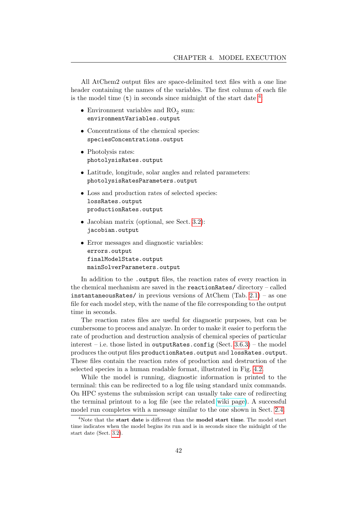All AtChem2 output files are space-delimited text files with a one line header containing the names of the variables. The first column of each file is the model time  $(t)$  in seconds since midnight of the start date  $4$ .

- Environment variables and  $RO<sub>2</sub>$  sum: environmentVariables.output
- Concentrations of the chemical species: speciesConcentrations.output
- Photolysis rates: photolysisRates.output
- Latitude, longitude, solar angles and related parameters: photolysisRatesParameters.output
- Loss and production rates of selected species: lossRates.output productionRates.output
- Jacobian matrix (optional, see Sect. [3.2\)](#page-20-0): jacobian.output
- Error messages and diagnostic variables: errors.output finalModelState.output mainSolverParameters.output

In addition to the .output files, the reaction rates of every reaction in the chemical mechanism are saved in the reactionRates/ directory – called instantaneousRates/ in previous versions of AtChem (Tab. [2.1\)](#page-12-1) – as one file for each model step, with the name of the file corresponding to the output time in seconds.

The reaction rates files are useful for diagnostic purposes, but can be cumbersome to process and analyze. In order to make it easier to perform the rate of production and destruction analysis of chemical species of particular interest – i.e. those listed in outputRates.config (Sect.  $3.6.3$ ) – the model produces the output files productionRates.output and lossRates.output. These files contain the reaction rates of production and destruction of the selected species in a human readable format, illustrated in Fig. [4.2.](#page-43-0)

While the model is running, diagnostic information is printed to the terminal: this can be redirected to a log file using standard unix commands. On HPC systems the submission script can usually take care of redirecting the terminal printout to a log file (see the related [wiki page\)](https://github.com/AtChem/AtChem2/wiki/Running-on-HPC). A successful model run completes with a message similar to the one shown in Sect. [2.4.](#page-9-0)

<span id="page-42-0"></span><sup>&</sup>lt;sup>4</sup>Note that the **start date** is different than the **model start time**. The model start time indicates when the model begins its run and is in seconds since the midnight of the start date (Sect. [3.2\)](#page-20-0).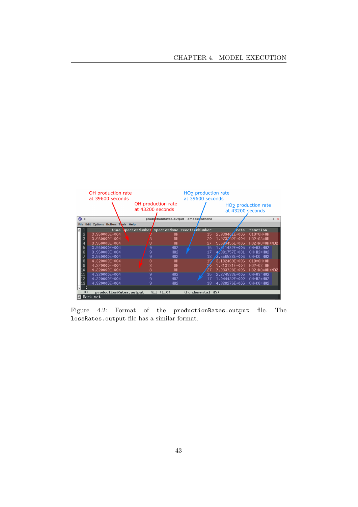<span id="page-43-0"></span>

Figure 4.2: Format of the productionRates.output file. The lossRates.output file has a similar format.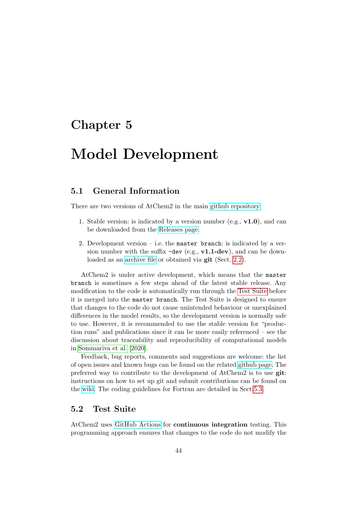## <span id="page-44-0"></span>Chapter 5

## Model Development

## <span id="page-44-1"></span>5.1 General Information

There are two versions of AtChem2 in the main [github repository:](https://github.com/AtChem/AtChem2)

- 1. Stable version: is indicated by a version number (e.g.,  $v1.0$ ), and can be downloaded from the [Releases page.](https://github.com/AtChem/AtChem2/releases)
- 2. Development version  $-$  i.e. the master branch: is indicated by a version number with the suffix  $-\text{dev}$  (e.g.,  $v1.1-\text{dev}$ ), and can be downloaded as an [archive file](https://github.com/AtChem/AtChem2/archive/master.zip) or obtained via **git** (Sect. [2.2\)](#page-6-0).

AtChem2 is under active development, which means that the master branch is sometimes a few steps ahead of the latest stable release. Any modification to the code is automatically run through the [Test Suite](#page-44-2) before it is merged into the master branch. The Test Suite is designed to ensure that changes to the code do not cause unintended behaviour or unexplained differences in the model results, so the development version is normally safe to use. However, it is recommended to use the stable version for "production runs" and publications since it can be more easily referenced – see the discussion about traceability and reproducibility of computational models in [Sommariva et al.](#page-54-2) [\[2020\]](#page-54-2).

Feedback, bug reports, comments and suggestions are welcome: the list of open issues and known bugs can be found on the related [github page.](https://github.com/AtChem/AtChem2/issues) The preferred way to contribute to the development of AtChem2 is to use git: instructions on how to set up git and submit contributions can be found on the [wiki.](https://github.com/AtChem/AtChem2/wiki/How-to-contribute) The coding guidelines for Fortran are detailed in Sect[.5.3.](#page-48-0)

## <span id="page-44-2"></span>5.2 Test Suite

AtChem2 uses [GitHub Actions](https://github.com/features/actions/) for continuous integration testing. This programming approach ensures that changes to the code do not modify the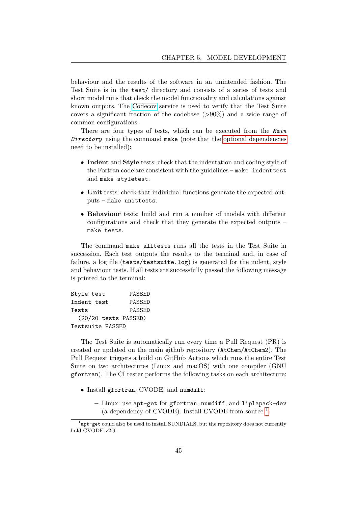behaviour and the results of the software in an unintended fashion. The Test Suite is in the test/ directory and consists of a series of tests and short model runs that check the model functionality and calculations against known outputs. The [Codecov](https://codecov.io/) service is used to verify that the Test Suite covers a significant fraction of the codebase  $(>90\%)$  and a wide range of common configurations.

There are four types of tests, which can be executed from the Main Directory using the command make (note that the [optional dependencies](#page-8-0) need to be installed):

- Indent and Style tests: check that the indentation and coding style of the Fortran code are consistent with the guidelines – make indenttest and make styletest.
- Unit tests: check that individual functions generate the expected outputs – make unittests.
- Behaviour tests: build and run a number of models with different configurations and check that they generate the expected outputs – make tests.

The command make alltests runs all the tests in the Test Suite in succession. Each test outputs the results to the terminal and, in case of failure, a log file (tests/testsuite.log) is generated for the indent, style and behaviour tests. If all tests are successfully passed the following message is printed to the terminal:

| Style test           | PASSED |  |
|----------------------|--------|--|
| Indent test          | PASSED |  |
| Tests                | PASSED |  |
| (20/20 tests PASSED) |        |  |
| Testsuite PASSED     |        |  |

The Test Suite is automatically run every time a Pull Request (PR) is created or updated on the main github repository (AtChem/AtChem2). The Pull Request triggers a build on GitHub Actions which runs the entire Test Suite on two architectures (Linux and macOS) with one compiler (GNU gfortran). The CI tester performs the following tasks on each architecture:

- Install gfortran, CVODE, and numdiff:
	- Linux: use apt-get for gfortran, numdiff, and liplapack-dev (a dependency of CVODE). Install CVODE from source  $<sup>1</sup>$  $<sup>1</sup>$  $<sup>1</sup>$ .</sup>

<span id="page-45-0"></span><sup>&</sup>lt;sup>1</sup>apt-get could also be used to install SUNDIALS, but the repository does not currently hold CVODE v2.9.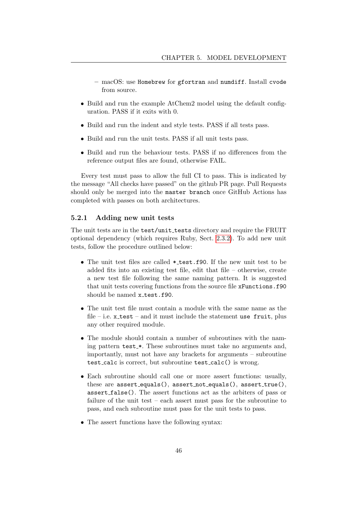- macOS: use Homebrew for gfortran and numdiff. Install cvode from source.
- Build and run the example AtChem2 model using the default configuration. PASS if it exits with 0.
- Build and run the indent and style tests. PASS if all tests pass.
- Build and run the unit tests. PASS if all unit tests pass.
- Build and run the behaviour tests. PASS if no differences from the reference output files are found, otherwise FAIL.

Every test must pass to allow the full CI to pass. This is indicated by the message "All checks have passed" on the github PR page. Pull Requests should only be merged into the master branch once GitHub Actions has completed with passes on both architectures.

#### <span id="page-46-0"></span>5.2.1 Adding new unit tests

The unit tests are in the test/unit\_tests directory and require the FRUIT optional dependency (which requires Ruby, Sect. [2.3.2\)](#page-8-0). To add new unit tests, follow the procedure outlined below:

- The unit test files are called \* test.f90. If the new unit test to be added fits into an existing test file, edit that file – otherwise, create a new test file following the same naming pattern. It is suggested that unit tests covering functions from the source file xFunctions.f90 should be named x test.f90.
- The unit test file must contain a module with the same name as the file – i.e.  $x$  test – and it must include the statement use fruit, plus any other required module.
- The module should contain a number of subroutines with the naming pattern test.\*. These subroutines must take no arguments and, importantly, must not have any brackets for arguments – subroutine test calc is correct, but subroutine test calc() is wrong.
- Each subroutine should call one or more assert functions: usually, these are  $assert\_equals()$ , assert\_not\_equals(), assert\_true(), assert false(). The assert functions act as the arbiters of pass or failure of the unit test – each assert must pass for the subroutine to pass, and each subroutine must pass for the unit tests to pass.
- The assert functions have the following syntax: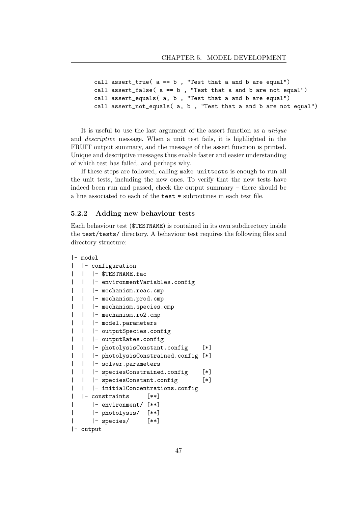```
call assert_true( a == b , "Test that a and b are equal")
call assert_false(a == b, "Test that a and b are not equal")
call assert_equals( a, b , "Test that a and b are equal")
call assert_not_equals( a, b , "Test that a and b are not equal")
```
It is useful to use the last argument of the assert function as a unique and descriptive message. When a unit test fails, it is highlighted in the FRUIT output summary, and the message of the assert function is printed. Unique and descriptive messages thus enable faster and easier understanding of which test has failed, and perhaps why.

If these steps are followed, calling make unittests is enough to run all the unit tests, including the new ones. To verify that the new tests have indeed been run and passed, check the output summary – there should be a line associated to each of the test \* subroutines in each test file.

#### <span id="page-47-0"></span>5.2.2 Adding new behaviour tests

Each behaviour test (\$TESTNAME) is contained in its own subdirectory inside the test/tests/ directory. A behaviour test requires the following files and directory structure:

```
|- model
| |- configuration
| | |- $TESTNAME.fac
  | | |- environmentVariables.config
| | | - mechanism.reac.cmp
| | | - mechanism.prod.cmp
| | |- mechanism.species.cmp
| | |- mechanism.ro2.cmp
| | |- model.parameters
| | | - outputSpecies.config
| | | - outputRates.config
| | |- photolysisConstant.config [*]
| | |- photolysisConstrained.config [*]
| | | | solver.parameters
| | |- speciesConstrained.config [*]
| | |- speciesConstant.config [*]
| | |- initialConcentrations.config
| |- constraints [**]
| |- environment/ [**]
| |- photolysis/ [**]
| |- species/ [**]
|- output
```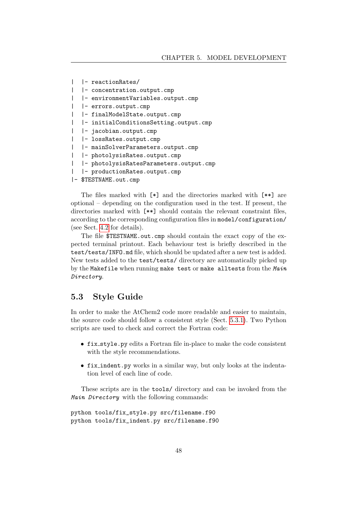```
| |- reactionRates/
 | |- concentration.output.cmp
| |- environmentVariables.output.cmp
| |- errors.output.cmp
| |- finalModelState.output.cmp
| |- initialConditionsSetting.output.cmp
| |- jacobian.output.cmp
| |- lossRates.output.cmp
| |- mainSolverParameters.output.cmp
| |- photolysisRates.output.cmp
| |- photolysisRatesParameters.output.cmp
| |- productionRates.output.cmp
|- $TESTNAME.out.cmp
```
The files marked with [\*] and the directories marked with [\*\*] are optional – depending on the configuration used in the test. If present, the directories marked with  $[**]$  should contain the relevant constraint files, according to the corresponding configuration files in model/configuration/

The file \$TESTNAME.out.cmp should contain the exact copy of the expected terminal printout. Each behaviour test is briefly described in the test/tests/INFO.md file, which should be updated after a new test is added. New tests added to the test/tests/ directory are automatically picked up by the Makefile when running make test or make all tests from the Main Directory.

## <span id="page-48-0"></span>5.3 Style Guide

(see Sect. [4.2](#page-34-0) for details).

In order to make the AtChem2 code more readable and easier to maintain, the source code should follow a consistent style (Sect. [5.3.1\)](#page-49-0). Two Python scripts are used to check and correct the Fortran code:

- fix style.py edits a Fortran file in-place to make the code consistent with the style recommendations.
- fix indent.py works in a similar way, but only looks at the indentation level of each line of code.

These scripts are in the tools/ directory and can be invoked from the Main Directory with the following commands:

```
python tools/fix_style.py src/filename.f90
python tools/fix_indent.py src/filename.f90
```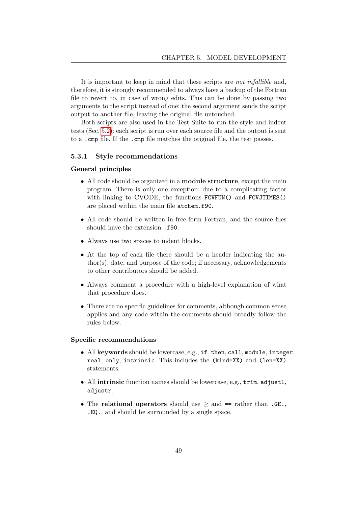It is important to keep in mind that these scripts are not infallible and, therefore, it is strongly recommended to always have a backup of the Fortran file to revert to, in case of wrong edits. This can be done by passing two arguments to the script instead of one: the second argument sends the script output to another file, leaving the original file untouched.

Both scripts are also used in the Test Suite to run the style and indent tests (Sec. [5.2\)](#page-44-2): each script is run over each source file and the output is sent to a .cmp file. If the .cmp file matches the original file, the test passes.

#### <span id="page-49-0"></span>5.3.1 Style recommendations

#### General principles

- All code should be organized in a **module structure**, except the main program. There is only one exception: due to a complicating factor with linking to CVODE, the functions FCVFUN() and FCVJTIMES() are placed within the main file atchem.f90.
- All code should be written in free-form Fortran, and the source files should have the extension .f90.
- Always use two spaces to indent blocks.
- At the top of each file there should be a header indicating the author(s), date, and purpose of the code; if necessary, acknowledgements to other contributors should be added.
- Always comment a procedure with a high-level explanation of what that procedure does.
- There are no specific guidelines for comments, although common sense applies and any code within the comments should broadly follow the rules below.

#### Specific recommendations

- All keywords should be lowercase, e.g., if then, call, module, integer, real, only, intrinsic. This includes the (kind=XX) and (len=XX) statements.
- All intrinsic function names should be lowercase, e.g., trim, adjustl, adjustr.
- The relational operators should use  $\geq$  and == rather than .GE. .EQ., and should be surrounded by a single space.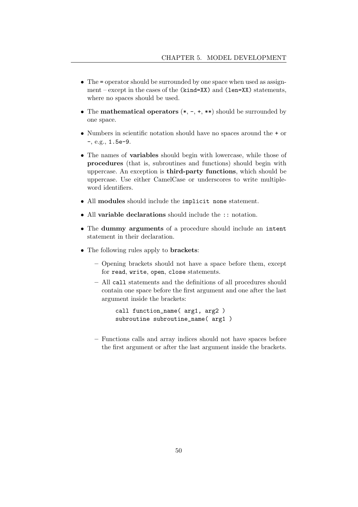- The = operator should be surrounded by one space when used as assignment – except in the cases of the (kind=XX) and (len=XX) statements, where no spaces should be used.
- The **mathematical operators**  $(*, -, +, **)$  should be surrounded by one space.
- Numbers in scientific notation should have no spaces around the + or -, e.g., 1.5e-9.
- The names of variables should begin with lowercase, while those of procedures (that is, subroutines and functions) should begin with uppercase. An exception is third-party functions, which should be uppercase. Use either CamelCase or underscores to write multipleword identifiers.
- All modules should include the implicit none statement.
- All variable declarations should include the :: notation.
- The dummy arguments of a procedure should include an intent statement in their declaration.
- The following rules apply to **brackets**:
	- Opening brackets should not have a space before them, except for read, write, open, close statements.
	- All call statements and the definitions of all procedures should contain one space before the first argument and one after the last argument inside the brackets:

```
call function_name( arg1, arg2 )
subroutine subroutine_name( arg1 )
```
– Functions calls and array indices should not have spaces before the first argument or after the last argument inside the brackets.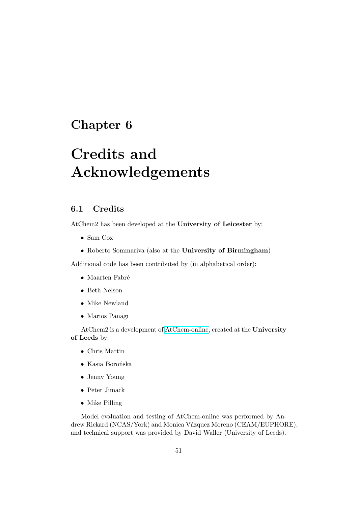## <span id="page-51-0"></span>Chapter 6

# Credits and Acknowledgements

## <span id="page-51-1"></span>6.1 Credits

AtChem2 has been developed at the University of Leicester by:

- Sam Cox
- Roberto Sommariva (also at the University of Birmingham)

Additional code has been contributed by (in alphabetical order):

- $\bullet$  Maarten Fabré
- Beth Nelson
- Mike Newland
- Marios Panagi

AtChem2 is a development of [AtChem-online,](https://atchem.leeds.ac.uk/webapp/) created at the University of Leeds by:

- Chris Martin
- $\bullet$  Kasia Borońska
- Jenny Young
- Peter Jimack
- Mike Pilling

Model evaluation and testing of AtChem-online was performed by Andrew Rickard (NCAS/York) and Monica Vázquez Moreno (CEAM/EUPHORE), and technical support was provided by David Waller (University of Leeds).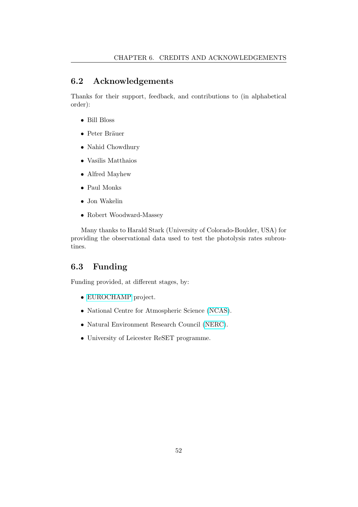## <span id="page-52-0"></span>6.2 Acknowledgements

Thanks for their support, feedback, and contributions to (in alphabetical order):

- Bill Bloss
- Peter Bräuer
- Nahid Chowdhury
- Vasilis Matthaios
- Alfred Mayhew
- Paul Monks
- Jon Wakelin
- Robert Woodward-Massey

Many thanks to Harald Stark (University of Colorado-Boulder, USA) for providing the observational data used to test the photolysis rates subroutines.

## <span id="page-52-1"></span>6.3 Funding

Funding provided, at different stages, by:

- [EUROCHAMP](https://www.eurochamp.org/) project.
- National Centre for Atmospheric Science [\(NCAS\)](https://www.ncas.ac.uk/).
- Natural Environment Research Council [\(NERC\)](https://nerc.ukri.org/).
- University of Leicester ReSET programme.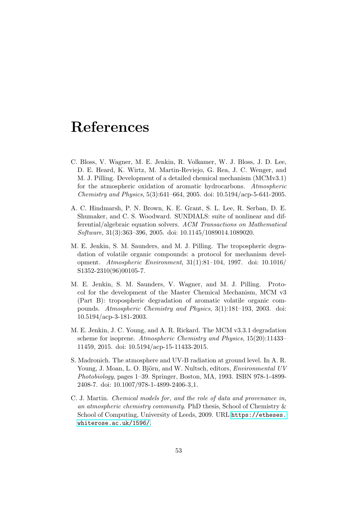## <span id="page-53-0"></span>References

- <span id="page-53-3"></span>C. Bloss, V. Wagner, M. E. Jenkin, R. Volkamer, W. J. Bloss, J. D. Lee, D. E. Heard, K. Wirtz, M. Martin-Reviejo, G. Rea, J. C. Wenger, and M. J. Pilling. Development of a detailed chemical mechanism (MCMv3.1) for the atmospheric oxidation of aromatic hydrocarbons. Atmospheric Chemistry and Physics, 5(3):641–664, 2005. doi: 10.5194/acp-5-641-2005.
- <span id="page-53-6"></span>A. C. Hindmarsh, P. N. Brown, K. E. Grant, S. L. Lee, R. Serban, D. E. Shumaker, and C. S. Woodward. SUNDIALS: suite of nonlinear and differential/algebraic equation solvers. ACM Transactions on Mathematical Software, 31(3):363–396, 2005. doi: 10.1145/1089014.1089020.
- <span id="page-53-1"></span>M. E. Jenkin, S. M. Saunders, and M. J. Pilling. The tropospheric degradation of volatile organic compounds: a protocol for mechanism development. Atmospheric Environment, 31(1):81–104, 1997. doi: 10.1016/ S1352-2310(96)00105-7.
- <span id="page-53-2"></span>M. E. Jenkin, S. M. Saunders, V. Wagner, and M. J. Pilling. Protocol for the development of the Master Chemical Mechanism, MCM v3 (Part B): tropospheric degradation of aromatic volatile organic compounds. Atmospheric Chemistry and Physics, 3(1):181–193, 2003. doi: 10.5194/acp-3-181-2003.
- <span id="page-53-4"></span>M. E. Jenkin, J. C. Young, and A. R. Rickard. The MCM v3.3.1 degradation scheme for isoprene. Atmospheric Chemistry and Physics, 15(20):11433– 11459, 2015. doi: 10.5194/acp-15-11433-2015.
- <span id="page-53-7"></span>S. Madronich. The atmosphere and UV-B radiation at ground level. In A. R. Young, J. Moan, L. O. Björn, and W. Nultsch, editors, *Environmental UV* Photobiology, pages 1–39. Springer, Boston, MA, 1993. ISBN 978-1-4899- 2408-7. doi: 10.1007/978-1-4899-2406-3 1.
- <span id="page-53-5"></span>C. J. Martin. Chemical models for, and the role of data and provenance in, an atmospheric chemistry community. PhD thesis, School of Chemistry & School of Computing, University of Leeds, 2009. URL [https://etheses.](https://etheses.whiterose.ac.uk/1596/) [whiterose.ac.uk/1596/](https://etheses.whiterose.ac.uk/1596/).